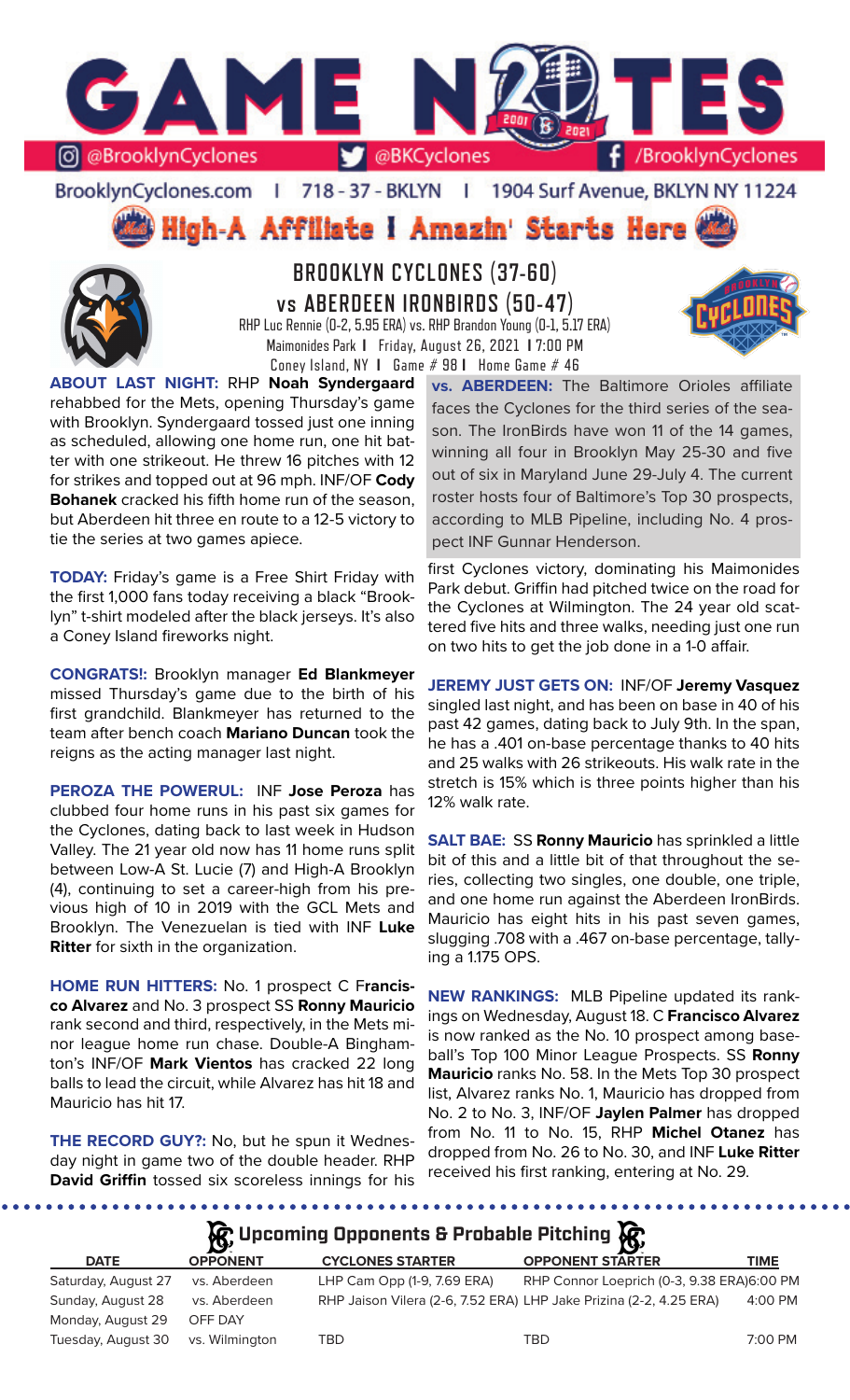

BrooklynCyclones.com | 718 - 37 - BKLYN | 1904 Surf Avenue, BKLYN NY 11224





# **BROOKLYN CYCLONES (37-60) vs ABERDEEN IRONBIRDS (50-47)**

RHP Luc Rennie (0-2, 5.95 ERA) vs. RHP Brandon Young (0-1, 5.17 ERA) Maimonides Park **I** Friday, August 26, 2021 **I** 7:00 PM Coney Island, NY **I** Game # 98 **I** Home Game # 46

**ABOUT LAST NIGHT:** RHP **Noah Syndergaard** rehabbed for the Mets, opening Thursday's game with Brooklyn. Syndergaard tossed just one inning as scheduled, allowing one home run, one hit batter with one strikeout. He threw 16 pitches with 12 for strikes and topped out at 96 mph. INF/OF **Cody Bohanek** cracked his fifth home run of the season, but Aberdeen hit three en route to a 12-5 victory to tie the series at two games apiece.

**TODAY:** Friday's game is a Free Shirt Friday with the first 1,000 fans today receiving a black "Brooklyn" t-shirt modeled after the black jerseys. It's also a Coney Island fireworks night.

**CONGRATS!:** Brooklyn manager **Ed Blankmeyer** missed Thursday's game due to the birth of his first grandchild. Blankmeyer has returned to the team after bench coach **Mariano Duncan** took the reigns as the acting manager last night.

**PEROZA THE POWERUL:** INF **Jose Peroza** has clubbed four home runs in his past six games for the Cyclones, dating back to last week in Hudson Valley. The 21 year old now has 11 home runs split between Low-A St. Lucie (7) and High-A Brooklyn (4), continuing to set a career-high from his previous high of 10 in 2019 with the GCL Mets and Brooklyn. The Venezuelan is tied with INF **Luke Ritter** for sixth in the organization.

**HOME RUN HITTERS:** No. 1 prospect C F**rancisco Alvarez** and No. 3 prospect SS **Ronny Mauricio**  rank second and third, respectively, in the Mets minor league home run chase. Double-A Binghamton's INF/OF **Mark Vientos** has cracked 22 long balls to lead the circuit, while Alvarez has hit 18 and Mauricio has hit 17.

**THE RECORD GUY?:** No, but he spun it Wednesday night in game two of the double header. RHP **David Griffin** tossed six scoreless innings for his

**vs. ABERDEEN:** The Baltimore Orioles affiliate faces the Cyclones for the third series of the season. The IronBirds have won 11 of the 14 games, winning all four in Brooklyn May 25-30 and five out of six in Maryland June 29-July 4. The current roster hosts four of Baltimore's Top 30 prospects, according to MLB Pipeline, including No. 4 prospect INF Gunnar Henderson.

first Cyclones victory, dominating his Maimonides Park debut. Griffin had pitched twice on the road for the Cyclones at Wilmington. The 24 year old scattered five hits and three walks, needing just one run on two hits to get the job done in a 1-0 affair.

**JEREMY JUST GETS ON:** INF/OF **Jeremy Vasquez**  singled last night, and has been on base in 40 of his past 42 games, dating back to July 9th. In the span, he has a .401 on-base percentage thanks to 40 hits and 25 walks with 26 strikeouts. His walk rate in the stretch is 15% which is three points higher than his 12% walk rate.

**SALT BAE:** SS **Ronny Mauricio** has sprinkled a little bit of this and a little bit of that throughout the series, collecting two singles, one double, one triple, and one home run against the Aberdeen IronBirds. Mauricio has eight hits in his past seven games, slugging .708 with a .467 on-base percentage, tallying a 1.175 OPS.

**NEW RANKINGS:** MLB Pipeline updated its rankings on Wednesday, August 18. C **Francisco Alvarez**  is now ranked as the No. 10 prospect among baseball's Top 100 Minor League Prospects. SS **Ronny Mauricio** ranks No. 58. In the Mets Top 30 prospect list, Alvarez ranks No. 1, Mauricio has dropped from No. 2 to No. 3, INF/OF **Jaylen Palmer** has dropped from No. 11 to No. 15, RHP **Michel Otanez** has dropped from No. 26 to No. 30, and INF **Luke Ritter** received his first ranking, entering at No. 29.

|  | $\delta$ Upcoming Opponents & Probable Pitching $\delta$ |  |
|--|----------------------------------------------------------|--|

|                     |                 | $\mathbf{Q}$                                                       |                                            |         |
|---------------------|-----------------|--------------------------------------------------------------------|--------------------------------------------|---------|
| <b>DATE</b>         | <b>OPPONENT</b> | <b>CYCLONES STARTER</b>                                            | <b>OPPONENT STARTER</b>                    | TIME    |
| Saturday, August 27 | vs. Aberdeen    | LHP Cam Opp (1-9, 7.69 ERA)                                        | RHP Connor Loeprich (0-3, 9.38 ERA)6:00 PM |         |
| Sunday, August 28   | vs. Aberdeen    | RHP Jaison Vilera (2-6, 7.52 ERA) LHP Jake Prizina (2-2, 4.25 ERA) |                                            | 4:00 PM |
| Monday, August 29   | OFF DAY         |                                                                    |                                            |         |
| Tuesday, August 30  | vs. Wilmington  | TBD                                                                | TBD                                        | 7:00 PM |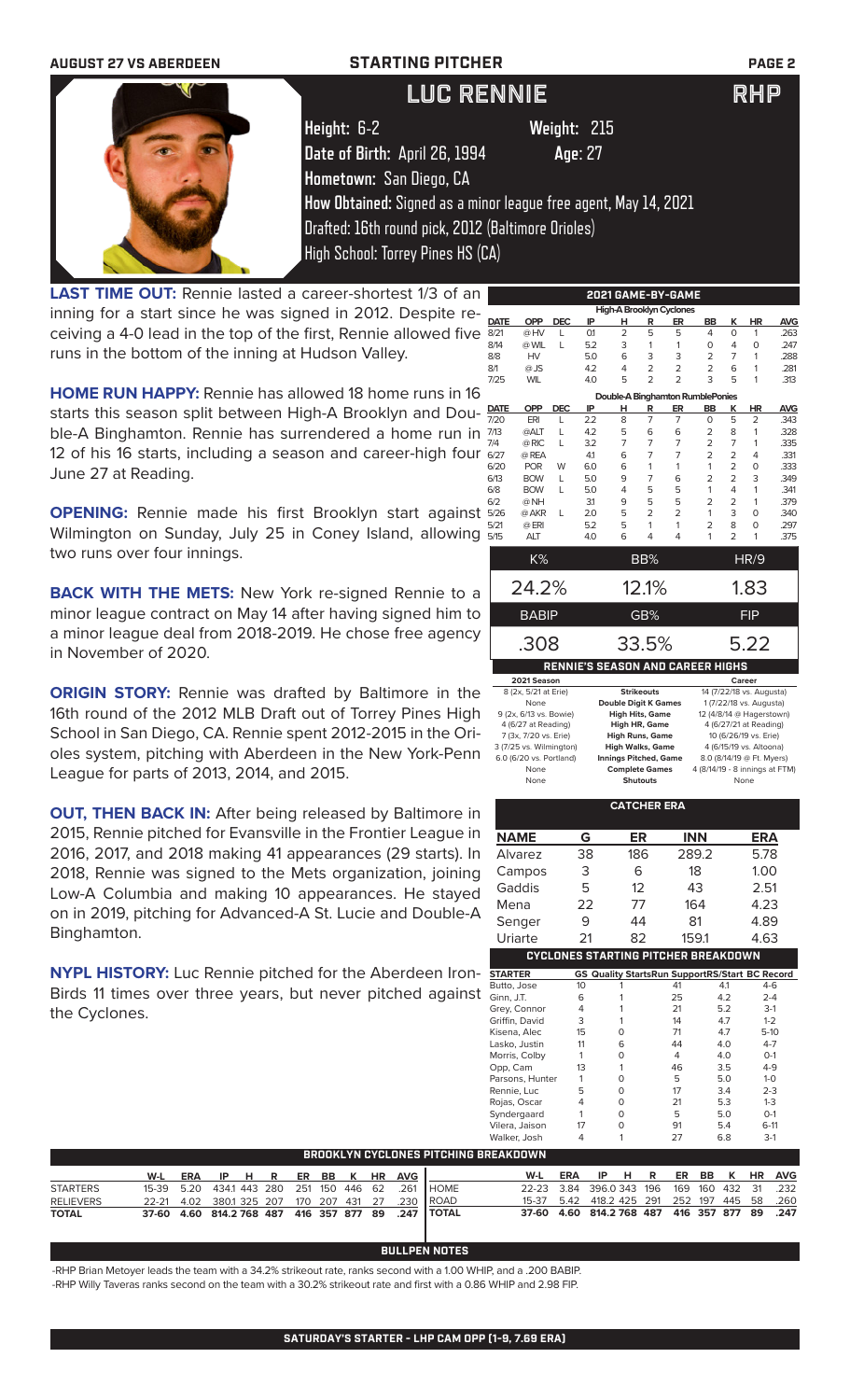| <b>AUGUST 27 VS ABERDEEN</b> | <b>STARTING PITCHER</b>                            |                                                                 | <b>PAGE 2</b> |
|------------------------------|----------------------------------------------------|-----------------------------------------------------------------|---------------|
|                              |                                                    | <b>LUC RENNIE</b>                                               | <b>RHP</b>    |
|                              | Height: 6-2                                        | Weight: 215                                                     |               |
|                              | Date of Birth: April 26, 1994                      | Age: 27                                                         |               |
|                              | Hometown: San Diego, CA                            |                                                                 |               |
|                              |                                                    | How Obtained: Signed as a minor league free agent, May 14, 2021 |               |
|                              | Drafted: 16th round pick, 2012 (Baltimore Orioles) |                                                                 |               |
|                              | High School: Torrey Pines HS (CA)                  |                                                                 |               |

**LAST TIME OUT:** Rennie lasted a career-shortest 1/3 of an inning for a start since he was signed in 2012. Despite receiving a 4-0 lead in the top of the first, Rennie allowed five runs in the bottom of the inning at Hudson Valley.

**HOME RUN HAPPY:** Rennie has allowed 18 home runs in 16 starts this season split between High-A Brooklyn and Double-A Binghamton. Rennie has surrendered a home run in 12 of his 16 starts, including a season and career-high four June 27 at Reading.

**OPENING:** Rennie made his first Brooklyn start against Wilmington on Sunday, July 25 in Coney Island, allowing two runs over four innings.

**BACK WITH THE METS:** New York re-signed Rennie to a minor league contract on May 14 after having signed him to a minor league deal from 2018-2019. He chose free agency in November of 2020.

**ORIGIN STORY:** Rennie was drafted by Baltimore in the 16th round of the 2012 MLB Draft out of Torrey Pines High School in San Diego, CA. Rennie spent 2012-2015 in the Orioles system, pitching with Aberdeen in the New York-Penn League for parts of 2013, 2014, and 2015.

**OUT, THEN BACK IN:** After being released by Baltimore in 2015, Rennie pitched for Evansville in the Frontier League in 2016, 2017, and 2018 making 41 appearances (29 starts). In 2018, Rennie was signed to the Mets organization, joining Low-A Columbia and making 10 appearances. He stayed on in 2019, pitching for Advanced-A St. Lucie and Double-A Binghamton.

**NYPL HISTORY:** Luc Rennie pitched for the Aberdeen Iron-Birds 11 times over three years, but never pitched against the Cyclones.

|             |            |            |     |                |                | 2021 GAME-BY-GAME                |                |                |                |            |
|-------------|------------|------------|-----|----------------|----------------|----------------------------------|----------------|----------------|----------------|------------|
|             |            |            |     |                |                | <b>High-A Brooklyn Cyclones</b>  |                |                |                |            |
| <b>DATE</b> | <b>OPP</b> | <b>DEC</b> | IP  | н              | R              | ER                               | BB             | κ              | HR             | <b>AVG</b> |
| 8/21        | @HV        | L          | O.1 | $\overline{2}$ | 5              | 5                                | 4              | $\Omega$       | 1              | .263       |
| 8/14        | @ WIL      | L          | 5.2 | 3              | 1              | 1                                | 0              | 4              | 0              | .247       |
| 8/8         | HV         |            | 5.0 | 6              | 3              | 3                                | $\overline{2}$ | $\overline{7}$ | 1              | .288       |
| 8/1         | @ JS       |            | 4.2 | 4              | 2              | $\overline{2}$                   | 2              | 6              | 1              | .281       |
| 7/25        | <b>WIL</b> |            | 4.0 | 5              | $\overline{2}$ | $\overline{2}$                   | 3              | 5              | 1              | .313       |
|             |            |            |     |                |                | Double-A Binghamton RumblePonies |                |                |                |            |
| <b>DATE</b> | <b>OPP</b> | <b>DEC</b> | IP  | н              | R              | ER                               | <b>BB</b>      | K              | HR             | <b>AVG</b> |
| 7/20        | ERI        | L          | 2.2 | 8              | $\overline{7}$ | 7                                | $\Omega$       | 5              | $\overline{2}$ | .343       |
| 7/13        | @ALT       | L          | 4.2 | 5              | 6              | 6                                | $\overline{2}$ | 8              | 1              | .328       |
| 7/4         | @ RIC      | L          | 3.2 | 7              | $\overline{7}$ | 7                                | $\overline{2}$ | $\overline{7}$ | 1              | .335       |
| 6/27        | @ REA      |            | 41  | 6              | 7              | 7                                | $\overline{2}$ | $\overline{2}$ | 4              | .331       |
| 6/20        | <b>POR</b> | W          | 6.0 | 6              | 1              | 1                                | 1              | $\overline{2}$ | $\Omega$       | .333       |
| 6/13        | <b>BOW</b> | L          | 5.0 | 9              | 7              | 6                                | $\overline{2}$ | $\overline{2}$ | 3              | .349       |
| 6/8         | <b>BOW</b> | L          | 5.0 | 4              | 5              | 5                                | 1              | 4              | 1              | .341       |
| 6/2         | @NH        |            | 31  | 9              | 5              | 5                                | $\overline{2}$ | $\overline{2}$ | 1              | .379       |
| 5/26        | @ AKR      | L          | 2.0 | 5              | $\overline{2}$ | 2                                | 1              | 3              | $\Omega$       | .340       |
| 5/21        | $@$ ERI    |            | 5.2 | 5              | 1              | 1                                | $\overline{2}$ | 8              | $\mathbf 0$    | .297       |
| 5/15        | ALT        |            | 4.0 | 6              | 4              | 4                                | 1              | $\overline{2}$ | 1              | .375       |
|             | K%         |            |     |                | BB%            |                                  |                |                | <b>HR/9</b>    |            |
|             |            |            |     |                |                |                                  |                |                |                |            |

| 24.2%                                   | 12.1% | 1.83 |  |  |  |  |
|-----------------------------------------|-------|------|--|--|--|--|
| <b>BABIP</b>                            | GB%   | FIP  |  |  |  |  |
| .308                                    | 33.5% | 5.22 |  |  |  |  |
| <b>RENNIE'S SEASON AND CAREER HIGHS</b> |       |      |  |  |  |  |

| 2021 Season             |                              | Career                         |
|-------------------------|------------------------------|--------------------------------|
| 8 (2x, 5/21 at Erie)    | <b>Strikeouts</b>            | 14 (7/22/18 vs. Augusta)       |
| None                    | <b>Double Digit K Games</b>  | 1 (7/22/18 vs. Augusta)        |
| 9 (2x, 6/13 vs. Bowie)  | <b>High Hits, Game</b>       | 12 (4/8/14 @ Hagerstown)       |
| 4 (6/27 at Reading)     | High HR, Game                | 4 (6/27/21 at Reading)         |
| 7 (3x, 7/20 vs. Erie)   | <b>High Runs, Game</b>       | 10 (6/26/19 vs. Erie)          |
| 3 (7/25 vs. Wilmington) | <b>High Walks, Game</b>      | 4 (6/15/19 vs. Altoona)        |
| 6.0 (6/20 vs. Portland) | <b>Innings Pitched, Game</b> | 8.0 (8/14/19 @ Ft. Myers)      |
| None                    | <b>Complete Games</b>        | 4 (8/14/19 - 8 innings at FTM) |
| None                    | <b>Shutouts</b>              | None                           |

|                 |                 | <b>CATCHER ERA</b>                                    |                |     |         |
|-----------------|-----------------|-------------------------------------------------------|----------------|-----|---------|
|                 |                 |                                                       |                |     |         |
| <b>NAME</b>     | G               | ER                                                    | <b>INN</b>     |     | ERA     |
| Alvarez         | 38              | 186                                                   | 289.2          |     | 5.78    |
| Campos          | 3               | 6                                                     | 18             |     | 1.00    |
| Gaddis          | 5               | 12                                                    | 43             |     | 2.51    |
| Mena            | 22              | 77                                                    | 164            |     | 4.23    |
| Senger          | 9               | 44                                                    | 81             |     | 4.89    |
| Uriarte         | 21              | 82                                                    | 159.1          |     | 4.63    |
|                 |                 | CYCLONES STARTING PITCHER BREAKDOWN                   |                |     |         |
| <b>STARTER</b>  |                 | <b>GS Quality StartsRun SupportRS/Start BC Record</b> |                |     |         |
| Butto, Jose     | 10 <sup>1</sup> | 1                                                     | 41             | 4.1 | $4-6$   |
| Ginn, J.T.      | 6               | 1                                                     | 25             | 4.2 | $2 - 4$ |
| Grey, Connor    | 4               | 1                                                     | 21             | 5.2 | $3-1$   |
| Griffin, David  | 3               | 1                                                     | 14             | 47  | $1-2$   |
| Kisena, Alec    | 15              | 0                                                     | 71             | 4.7 | $5-10$  |
| Lasko, Justin   | 11              | 6                                                     | 44             | 4.0 | $4 - 7$ |
| Morris, Colby   | 1               | $\Omega$                                              | $\overline{4}$ | 4.0 | $O-1$   |
| Opp, Cam        | 13              | 1                                                     | 46             | 3.5 | $4 - 9$ |
| Parsons, Hunter | 1               | $\Omega$                                              | 5              | 5.0 | $1-0$   |
| Rennie, Luc     | 5               | $\Omega$                                              | 17             | 3.4 | $2 - 3$ |
| Rojas, Oscar    | 4               | $\Omega$                                              | 21             | 5.3 | $1 - 3$ |
| Syndergaard     | 1               | $\Omega$                                              | 5              | 5.0 | $O-1$   |
| Vilera, Jaison  | 17              | $\Omega$                                              | 91             | 5.4 | $6-11$  |
| Walker, Josh    | 4               | 1                                                     | 27             | 6.8 | $3-1$   |
| <b>REAKDOWN</b> |                 |                                                       |                |     |         |
|                 |                 |                                                       |                |     |         |

| <b>BROOKLYN CYCLONES PITCHING BREAKDOWN</b> |     |  |  |  |  |  |  |  |  |                           |                                                             |                                              |                         |  |  |  |  |  |
|---------------------------------------------|-----|--|--|--|--|--|--|--|--|---------------------------|-------------------------------------------------------------|----------------------------------------------|-------------------------|--|--|--|--|--|
|                                             | W-L |  |  |  |  |  |  |  |  | ERA IP H R ER BB K HR AVG |                                                             | W-L                                          | ERA IP HR ER BB KHR AVG |  |  |  |  |  |
| <b>STARTERS</b>                             |     |  |  |  |  |  |  |  |  |                           | 15-39  5.20  434.1  443  280  251  150  446  62  .261  HOME | 22-23 3.84 396.0343 196 169 160 432 31 .232  |                         |  |  |  |  |  |
| RELIEVERS                                   |     |  |  |  |  |  |  |  |  |                           | 22-21 4.02 380.1 325 207 170 207 431 27 .230 ROAD           | 15-37 5.42 418.2 425 291 252 197 445 58 .260 |                         |  |  |  |  |  |
| <b>TOTAL</b>                                |     |  |  |  |  |  |  |  |  |                           | 37-60 4.60 814.2 768 487 416 357 877 89 .247 TOTAL          | 37-60 4.60 814.2 768 487 416 357 877 89 .247 |                         |  |  |  |  |  |

## **BULLPEN NOTES**

-RHP Brian Metoyer leads the team with a 34.2% strikeout rate, ranks second with a 1.00 WHIP, and a .200 BABIP. -RHP Willy Taveras ranks second on the team with a 30.2% strikeout rate and first with a 0.86 WHIP and 2.98 FIP.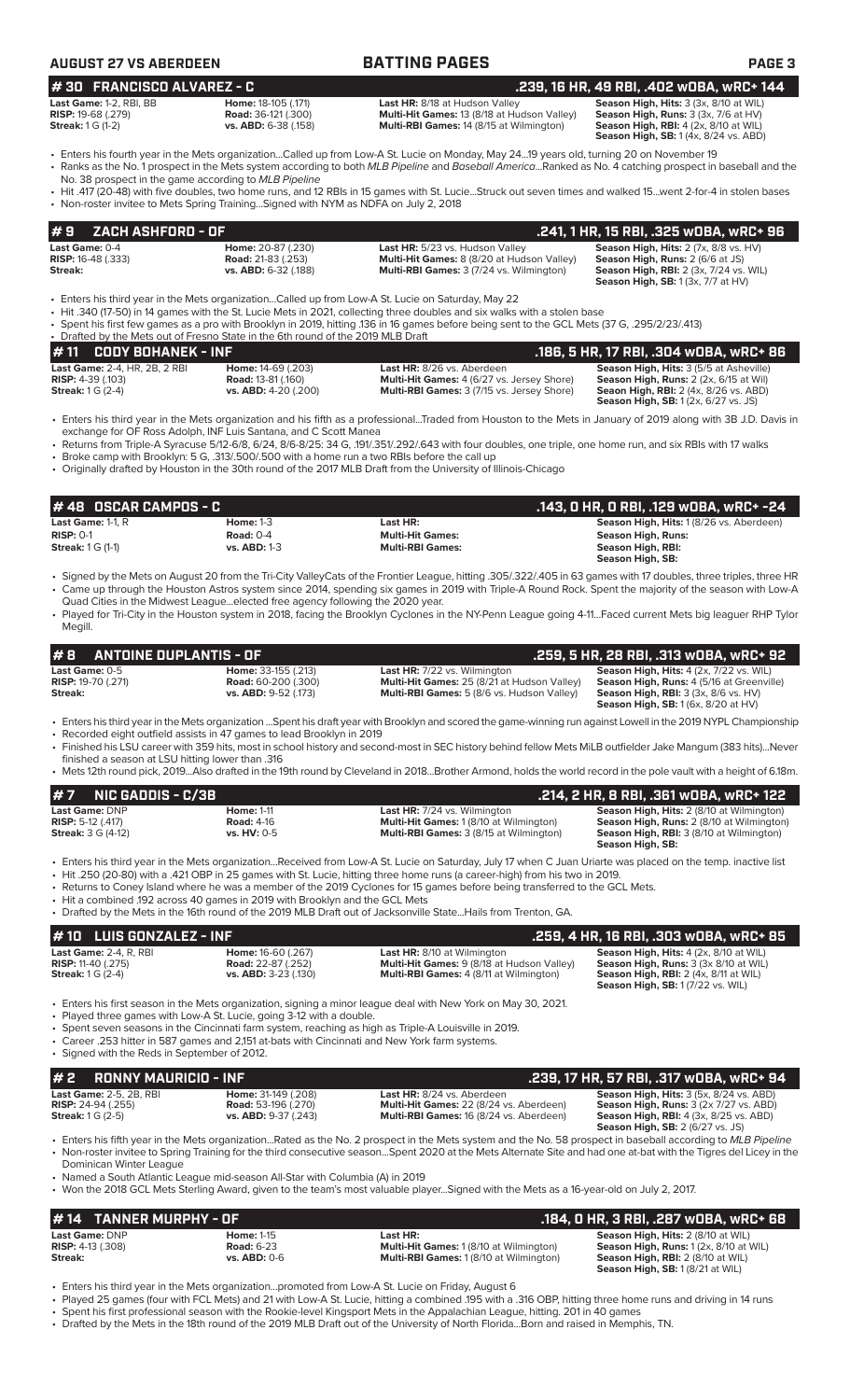| AUGUST 27 VS ABERDEEN |
|-----------------------|
|-----------------------|

## **AUGUST 27 IS ABSOLUTE 27 IS ABER 21 IS A PAGE 3**

| $# 30$ FRANCISCO ALVAREZ - C | .239. 16 HR. 49 RBI. .402 WOBA. wRC+ 144 |
|------------------------------|------------------------------------------|
|                              |                                          |

| <b>Last Game:</b> 1-2, RBI, BB | Home: 18-105 (.171)         | <b>Last HR:</b> 8/18 at Hudson Valley              | <b>Season High, Hits:</b> 3 (3x, 8/10 at WIL           |
|--------------------------------|-----------------------------|----------------------------------------------------|--------------------------------------------------------|
| <b>RISP:</b> 19-68 (.279)      | <b>Road:</b> 36-121 (.300)  | <b>Multi-Hit Games: 13 (8/18 at Hudson Valley)</b> | <b>Season High, Runs:</b> $3$ ( $3x$ , $7/6$ at $HV$ ) |
| <b>Streak:</b> 1 G (1-2)       | <b>vs. ABD:</b> 6-38 (.158) | <b>Multi-RBI Games: 14 (8/15 at Wilmington)</b>    | <b>Season High, RBI:</b> 4 (2x, 8/10 at WIL)           |

e: 18-105 (.171) **Last HR:** 8/18 at Hudson Valley **Season High, Hits:** 3 (3x, 8/10 at WIL)<br>- **18-121 (.300) Multi-Hit Games: 13** (8/18 at Hudson Valley) **Season High, Runs:** 3 (3x, 7/6 at HV) **RISP: 28-88 (.300) Rulti-Hit Games: 13 (8/18** at Hudson Valley) **Multi-Hit Games: 1**3 (8/18 at Hudson Valley) **BD:** 6-38 (.158)

**Season High, SB:** 1 (4x, 8/24 vs. ABD)

- Enters his fourth year in the Mets organization...Called up from Low-A St. Lucie on Monday, May 24...19 years old, turning 20 on November 19 • Ranks as the No. 1 prospect in the Mets system according to both *MLB Pipeline* and *Baseball America*...Ranked as No. 4 catching prospect in baseball and the
- No. 38 prospect in the game according to *MLB Pipeline* • Hit .417 (20-48) with five doubles, two home runs, and 12 RBIs in 15 games with St. Lucie...Struck out seven times and walked 15...went 2-for-4 in stolen bases
- Non-roster invitee to Mets Spring Training...Signed with NYM as NDFA on July 2, 2018

| 1#9    ZACH ASHFORD - OF  |                           |                                                   | . 241, 1 HR, 15 RBI, .325 wOBA, wRC+ 96.            |
|---------------------------|---------------------------|---------------------------------------------------|-----------------------------------------------------|
| <b>Last Game: 0-4</b>     | Home: 20-87 (.230)        | Last HR: 5/23 vs. Hudson Valley                   | <b>Season High, Hits:</b> $2$ (7x, $8/8$ vs. $HV$ ) |
| <b>RISP:</b> 16-48 (.333) | <b>Road:</b> 21-83 (.253) | <b>Multi-Hit Games:</b> 8 (8/20 at Hudson Valley) | <b>Season High, Runs: 2 (6/6 at JS)</b>             |
| Streak:                   | vs. ABD: 6-32 (.188)      | <b>Multi-RBI Games: 3 (7/24 vs. Wilmington)</b>   | <b>Season High, RBI:</b> 2 (3x, 7/24 vs. WIL)       |
|                           |                           |                                                   | <b>Season High, SB:</b> $1(3x, 7/7$ at $HV$ )       |

- Enters his third year in the Mets organization...Called up from Low-A St. Lucie on Saturday, May 22
- Hit .340 (17-50) in 14 games with the St. Lucie Mets in 2021, collecting three doubles and six walks with a stolen base
- Spent his first few games as a pro with Brooklyn in 2019, hitting .136 in 16 games before being sent to the GCL Mets (37 G, .295/2/23/.413)

Drafted by the Mets out of Fresno State in the 6th round of the 2019 MLB Draft<br>• 11 CODY BOHANEK - INF **# 11 CODY BOHANEK - INF .186, 5 HR, 17 RBI, .304 wOBA, wRC+ 86 Last Game:** 2-4, HR, 2B, 2 RBI **Home:** 14-69 (.203) **Last HR:** 8/26 vs. Aberdeen **Season High, Hits:** 3 (5/5 at Asheville) **RISP:** 4-39 (.103) **Road:** 13-81 (.160) **Multi-Hit Games:** 4 (6/27 vs. Jersey Shore) **Season High, Runs:** 2 (2x, 6/15 at Wil) **Streak:** 1 G (2-4) **vs. ABD:** 4-20 (.200) **Multi-RBI Games:** 3 (7/15 vs. Jersey Shore) **Seaon High, RBI:** 2 (4x, 8/26 vs. ABD) **Season High, SB:** 1 (2x, 6/27 vs. JS)

- Enters his third year in the Mets organization and his fifth as a professional...Traded from Houston to the Mets in January of 2019 along with 3B J.D. Davis in exchange for OF Ross Adolph, INF Luis Santana, and C Scott Manea
- Returns from Triple-A Syracuse 5/12-6/8, 6/24, 8/6-8/25: 34 G, .191/.351/.292/.643 with four doubles, one triple, one home run, and six RBIs with 17 walks • Broke camp with Brooklyn: 5 G, .313/.500/.500 with a home run a two RBIs before the call up
- Originally drafted by Houston in the 30th round of the 2017 MLB Draft from the University of Illinois-Chicago

| $\bm{\#}$ 48 $\,$ OSCAR CAMPOS - C $\,$ |                     |                         | .143, O HR, O RBI, .129 wOBA, wRC+ -24  |
|-----------------------------------------|---------------------|-------------------------|-----------------------------------------|
| <b>Last Game: 1-1, <math>R</math></b>   | Home: $1-3$         | Last HR:                | Season High, Hits: 1(8/26 vs. Aberdeen) |
| $RISP: 0-1$                             | Road: $0-4$         | <b>Multi-Hit Games:</b> | Season High, Runs:                      |
| <b>Streak:</b> $1 \text{ G (1-1)}$      | <b>vs. ABD: 1-3</b> | <b>Multi-RBI Games:</b> | Season High, RBI:                       |
|                                         |                     |                         | Season High, SB:                        |

- Signed by the Mets on August 20 from the Tri-City ValleyCats of the Frontier League, hitting .305/.322/.405 in 63 games with 17 doubles, three triples, three HR • Came up through the Houston Astros system since 2014, spending six games in 2019 with Triple-A Round Rock. Spent the majority of the season with Low-A Quad Cities in the Midwest League...elected free agency following the 2020 year.
- Played for Tri-City in the Houston system in 2018, facing the Brooklyn Cyclones in the NY-Penn League going 4-11...Faced current Mets big leaguer RHP Tylor Megill.

|                             | $\#$ 8 ANTOINE DUPLANTIS - OF |                             |                                                    | .259, 5 HR, 28 RBI, .313 wOBA, wRC+ 92                 |
|-----------------------------|-------------------------------|-----------------------------|----------------------------------------------------|--------------------------------------------------------|
| Last Game: 0-5              |                               | <b>Home:</b> 33-155 (.213)  | <b>Last HR:</b> 7/22 vs. Wilmington                | <b>Season High, Hits: 4 (2x, 7/22 vs. WIL)</b>         |
| <b>RISP:</b> 19-70 $(.271)$ |                               | <b>Road:</b> 60-200 (.300)  | <b>Multi-Hit Games: 25 (8/21 at Hudson Valley)</b> | <b>Season High, Runs: 4 (5/16 at Greenville)</b>       |
| Streak:                     |                               | <b>vs. ABD:</b> 9-52 (.173) | <b>Multi-RBI Games:</b> 5 (8/6 vs. Hudson Valley)  | <b>Season High, RBI:</b> $3$ ( $3x$ , $8/6$ vs. $HV$ ) |
|                             |                               |                             |                                                    | <b>Season High, SB:</b> 1 (6x, 8/20 at HV)             |

- Enters his third year in the Mets organization ...Spent his draft year with Brooklyn and scored the game-winning run against Lowell in the 2019 NYPL Championship
- Recorded eight outfield assists in 47 games to lead Brooklyn in 2019
- Finished his LSU career with 359 hits, most in school history and second-most in SEC history behind fellow Mets MiLB outfielder Jake Mangum (383 hits)...Never finished a season at LSU hitting lower than .316
- Mets 12th round pick, 2019...Also drafted in the 19th round by Cleveland in 2018...Brother Armond, holds the world record in the pole vault with a height of 6.18m.

| $#7$ NIC GADDIS - C/3B                              |                                        |                                                                                                                                                              | .214, 2 HR, 8 RBI, .361 wOBA, wRC+ 122                                                               |
|-----------------------------------------------------|----------------------------------------|--------------------------------------------------------------------------------------------------------------------------------------------------------------|------------------------------------------------------------------------------------------------------|
| <b>Last Game: DNP</b><br><b>RISP:</b> $5-12$ (.417) | <b>Home: 1-11</b><br><b>Road: 4-16</b> | <b>Last HR:</b> 7/24 vs. Wilmington<br><b>Multi-Hit Games: 1 (8/10 at Wilmington)</b>                                                                        | <b>Season High, Hits: 2 (8/10 at Wilmington)</b><br><b>Season High, Runs: 2 (8/10 at Wilmington)</b> |
| <b>Streak: 3 G (4-12)</b>                           | <b>vs. HV: 0-5</b>                     | <b>Multi-RBI Games: 3 (8/15 at Wilmington)</b>                                                                                                               | <b>Season High, RBI:</b> 3 (8/10 at Wilmington)<br>Season High, SB:                                  |
|                                                     |                                        | • Enters his third year in the Mets organizationReceived from Low-A St. Lucie on Saturday, July 17 when C Juan Uriarte was placed on the temp. inactive list |                                                                                                      |

- Hit .250 (20-80) with a .421 OBP in 25 games with St. Lucie, hitting three home runs (a career-high) from his two in 2019.
- Returns to Coney Island where he was a member of the 2019 Cyclones for 15 games before being transferred to the GCL Mets.
- Hit a combined .192 across 40 games in 2019 with Brooklyn and the GCL Mets
- Drafted by the Mets in the 16th round of the 2019 MLB Draft out of Jacksonville State...Hails from Trenton, GA.

| $# 10$ LUIS GONZALEZ - INF                            |                                                                      |                                                                                                                | .259. 4 HR. 16 RBI. .303 WOBA. wRC+ 85                                                        |
|-------------------------------------------------------|----------------------------------------------------------------------|----------------------------------------------------------------------------------------------------------------|-----------------------------------------------------------------------------------------------|
| Last Game: 2-4, R, RBI<br><b>RISP:</b> $11-40$ (.275) | Home: 16-60 (.267)<br><b>Road:</b> 22-87 (.252)                      | <b>Last HR:</b> 8/10 at Wilmington<br>Multi-Hit Games: 9 (8/18 at Hudson Valley)                               | <b>Season High, Hits: 4 (2x, 8/10 at WIL)</b><br><b>Season High, Runs:</b> 3 (3x 8/10 at WIL) |
| <b>Streak:</b> $1 G (2-4)$                            | vs. ABD: 3-23 (.130)                                                 | <b>Multi-RBI Games: 4 (8/11 at Wilmington)</b>                                                                 | <b>Season High, RBI:</b> 2 (4x, 8/11 at WIL)<br><b>Season High, SB:</b> 1(7/22 vs. WIL)       |
|                                                       | • Played three games with Low-A St. Lucie, going 3-12 with a double. | • Enters his first season in the Mets organization, signing a minor league deal with New York on May 30, 2021. |                                                                                               |

- Spent seven seasons in the Cincinnati farm system, reaching as high as Triple-A Louisville in 2019.
- Career .253 hitter in 587 games and 2,151 at-bats with Cincinnati and New York farm systems.
- Signed with the Reds in September of 2012.

| # 2 RONNY MAURICIO - INF        |                             |                                                | .239, 17 HR, 57 RBI, .317 wOBA, wRC+ 94        |
|---------------------------------|-----------------------------|------------------------------------------------|------------------------------------------------|
| <b>Last Game: 2-5, 2B, RBI</b>  | <b>Home: 31-149 (.208)</b>  | <b>Last HR:</b> 8/24 vs. Aberdeen              | <b>Season High, Hits: 3 (5x, 8/24 vs. ABD)</b> |
| <b>RISP:</b> $24-94$ ( $.255$ ) | <b>Road:</b> 53-196 (.270)  | <b>Multi-Hit Games: 22 (8/24 vs. Aberdeen)</b> | <b>Season High, Runs: 3 (2x 7/27 vs. ABD)</b>  |
| <b>Streak:</b> $1 G (2-5)$      | <b>vs. ABD:</b> 9-37 (.243) | <b>Multi-RBI Games: 16 (8/24 vs. Aberdeen)</b> | <b>Season High, RBI:</b> 4 (3x, 8/25 vs. ABD)  |
|                                 |                             |                                                | <b>Season High, SB: 2 (6/27 vs. JS)</b>        |

- Enters his fifth year in the Mets organization...Rated as the No. 2 prospect in the Mets system and the No. 58 prospect in baseball according to *MLB Pipeline* • Non-roster invitee to Spring Training for the third consecutive season...Spent 2020 at the Mets Alternate Site and had one at-bat with the Tigres del Licey in the Dominican Winter League
- Named a South Atlantic League mid-season All-Star with Columbia (A) in 2019
- Won the 2018 GCL Mets Sterling Award, given to the team's most valuable player...Signed with the Mets as a 16-year-old on July 2, 2017.

## **Last Game:** DNP **Home:** 1-15 **Last HR: Season High, Hits:** 2 (8/10 at WIL) **# 14 TANNER MURPHY - OF .184, 0 HR, 3 RBI, .287 wOBA, wRC+ 68**

| <b>RISP:</b> 4-13 (.308) | <b>Road: 6-23</b> | <b>Multi-Hit Games: 1 (8/10 at Wilmington)</b> | Season High, Runs: 1 (2x, 8/10 at WIL)                                              |
|--------------------------|-------------------|------------------------------------------------|-------------------------------------------------------------------------------------|
| Streak:                  | $vs.$ ABD: $0-6$  | <b>Multi-RBI Games: 1(8/10 at Wilmington)</b>  | <b>Season High, RBI:</b> 2 (8/10 at WIL)<br><b>Season High, SB: 1 (8/21 at WIL)</b> |
|                          |                   |                                                |                                                                                     |

- Enters his third year in the Mets organization...promoted from Low-A St. Lucie on Friday, August 6
- Played 25 games (four with FCL Mets) and 21 with Low-A St. Lucie, hitting a combined .195 with a .316 OBP, hitting three home runs and driving in 14 runs • Spent his first professional season with the Rookie-level Kingsport Mets in the Appalachian League, hitting. 201 in 40 games
- Drafted by the Mets in the 18th round of the 2019 MLB Draft out of the University of North Florida...Born and raised in Memphis, TN.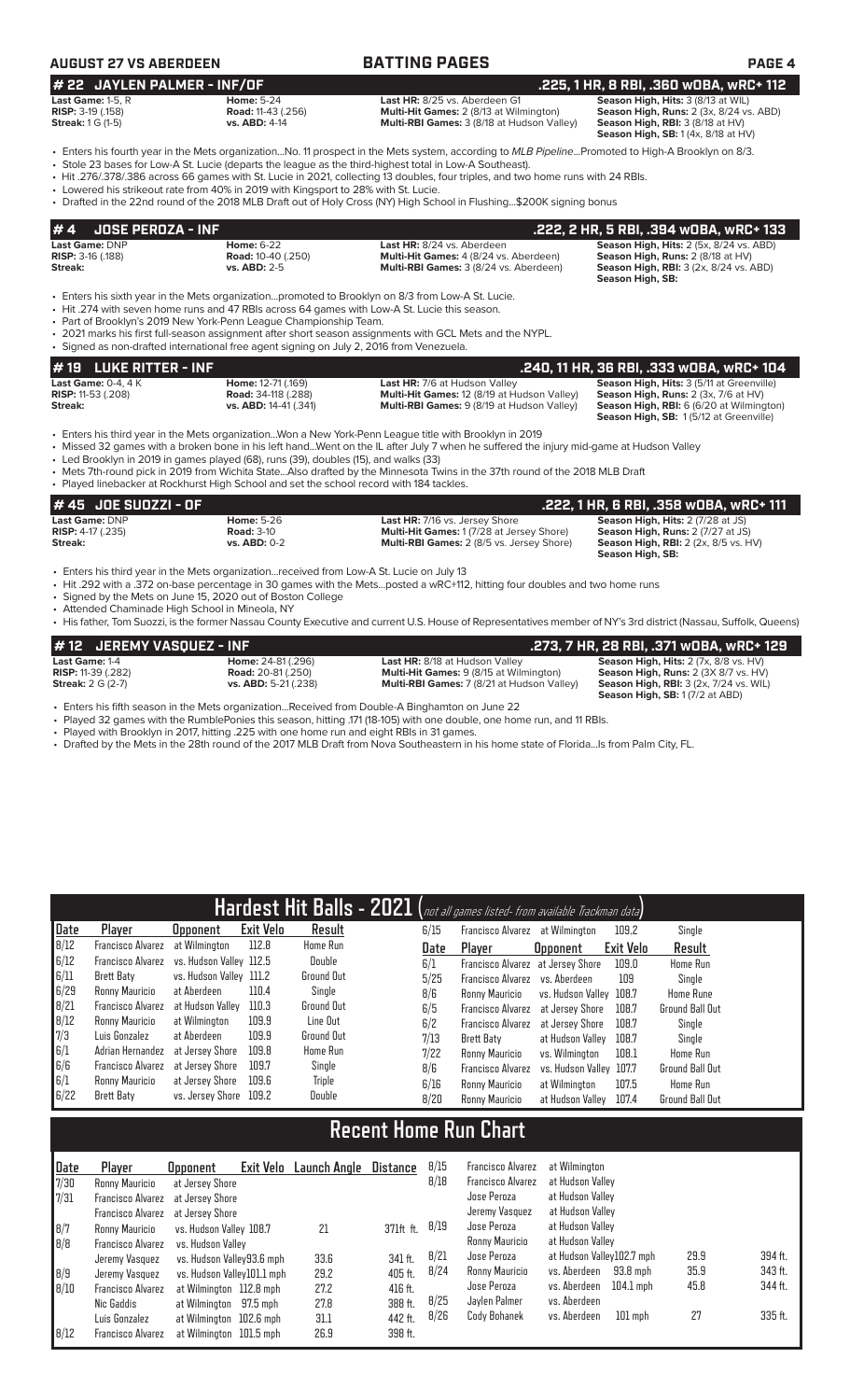## **AUGUST 27 VS ABERDEEN BATTING PAGES PAGE 4**

### **# 22 JAYLEN PALMER - INF/OF .225, 1 HR, 8 RBI, .360 wOBA, wRC+ 112 Last Game:** 1-5, R<br> **RISP:** 3-19 (.158) **Road: 11-43** (.256) **Road: 11-43** (.256) **Multi-Hit Games:** 2 (8/13 at Wilmington) **Cast Game: 1-5, R Risp: Risp: RISP: RISP: RISP: RISP: RISP: RISP: RISP: RISP: 8-19** (.158) **Road:** 11-43 (.256) **Multi-Hit Games:** 2 (8/13 at Wilmington) **Season High, Runs:** 2 (3x, 8/24 vs. ABD) **Se Multi-RBI Games: 3 (8/18 at Hudson Valley) Season High, RBI:** 3 (8/18 at HV)<br>**Season High, SB:** 1 (4x, 8/18 at HV)

• Enters his fourth year in the Mets organization...No. 11 prospect in the Mets system, according to *MLB Pipeline*...Promoted to High-A Brooklyn on 8/3. • Stole 23 bases for Low-A St. Lucie (departs the league as the third-highest total in Low-A Southeast).

• Hit .276/.378/.386 across 66 games with St. Lucie in 2021, collecting 13 doubles, four triples, and two home runs with 24 RBIs.

• Lowered his strikeout rate from 40% in 2019 with Kingsport to 28% with St. Lucie.

• Drafted in the 22nd round of the 2018 MLB Draft out of Holy Cross (NY) High School in Flushing...\$200K signing bonus

| <b>JOSE PEROZA - INF</b><br>#4                              |                                                                                                                                                                                                                                                                |                                                                                                                                                                                                                                                                                                                                                                                 | .222, 2 HR, 5 RBI, .394 wOBA, wRC+ 133                                                                                                                                  |
|-------------------------------------------------------------|----------------------------------------------------------------------------------------------------------------------------------------------------------------------------------------------------------------------------------------------------------------|---------------------------------------------------------------------------------------------------------------------------------------------------------------------------------------------------------------------------------------------------------------------------------------------------------------------------------------------------------------------------------|-------------------------------------------------------------------------------------------------------------------------------------------------------------------------|
| Last Game: DNP<br><b>RISP:</b> 3-16 (.188)<br>Streak:       | <b>Home: 6-22</b><br><b>Road: 10-40 (.250)</b><br>vs. ABD: 2-5                                                                                                                                                                                                 | Last HR: 8/24 vs. Aberdeen<br>Multi-Hit Games: 4 (8/24 vs. Aberdeen)<br>Multi-RBI Games: 3 (8/24 vs. Aberdeen)                                                                                                                                                                                                                                                                  | Season High, Hits: 2 (5x, 8/24 vs. ABD)<br>Season High, Runs: 2 (8/18 at HV)<br><b>Season High, RBI: 3 (2x, 8/24 vs. ABD)</b><br><b>Season High, SB:</b>                |
|                                                             | • Hit .274 with seven home runs and 47 RBIs across 64 games with Low-A St. Lucie this season.<br>• Part of Brooklyn's 2019 New York-Penn League Championship Team.<br>• Signed as non-drafted international free agent signing on July 2, 2016 from Venezuela. | • Enters his sixth year in the Mets organizationpromoted to Brooklyn on 8/3 from Low-A St. Lucie.<br>• 2021 marks his first full-season assignment after short season assignments with GCL Mets and the NYPL.                                                                                                                                                                   |                                                                                                                                                                         |
| # 19<br><b>LUKE RITTER - INF</b>                            |                                                                                                                                                                                                                                                                |                                                                                                                                                                                                                                                                                                                                                                                 | .240, 11 HR, 36 RBI, .333 wOBA, wRC+ 104                                                                                                                                |
| Last Game: 0-4, 4 K<br><b>RISP:</b> 11-53 (.208)<br>Streak: | Home: 12-71 (.169)<br><b>Road: 34-118 (.288)</b><br>vs. ABD: 14-41 (.341)                                                                                                                                                                                      | Last HR: 7/6 at Hudson Valley<br>Multi-Hit Games: 12 (8/19 at Hudson Valley)<br>Multi-RBI Games: 9 (8/19 at Hudson Valley)                                                                                                                                                                                                                                                      | Season High, Hits: 3 (5/11 at Greenville)<br>Season High, Runs: 2 (3x, 7/6 at HV)<br>Season High, RBI: 6 (6/20 at Wilmington)<br>Season High, SB: 1(5/12 at Greenville) |
|                                                             | • Led Brooklyn in 2019 in games played (68), runs (39), doubles (15), and walks (33)<br>• Played linebacker at Rockhurst High School and set the school record with 184 tackles.                                                                               | · Enters his third year in the Mets organizationWon a New York-Penn League title with Brooklyn in 2019<br>• Missed 32 games with a broken bone in his left handWent on the IL after July 7 when he suffered the injury mid-game at Hudson Valley<br>• Mets 7th-round pick in 2019 from Wichita StateAlso drafted by the Minnesota Twins in the 37th round of the 2018 MLB Draft |                                                                                                                                                                         |
| #45 JOE SUOZZI - OF                                         |                                                                                                                                                                                                                                                                |                                                                                                                                                                                                                                                                                                                                                                                 | .222, 1 HR, 6 RBI, .358 wOBA, wRC+ 111                                                                                                                                  |
| Last Game: DNP<br><b>RISP:</b> $4-17$ (.235)<br>Streak:     | <b>Home: 5-26</b><br><b>Road: 3-10</b><br>vs. ABD: 0-2                                                                                                                                                                                                         | Last HR: 7/16 vs. Jersey Shore<br>Multi-Hit Games: 1 (7/28 at Jersey Shore)<br>Multi-RBI Games: 2 (8/5 vs. Jersey Shore)                                                                                                                                                                                                                                                        | Season High, Hits: 2 (7/28 at JS)<br>Season High, Runs: 2 (7/27 at JS)<br>Season High, RBI: 2 (2x, 8/5 vs. HV)<br>Season High, SB:                                      |
|                                                             | • Enters his third year in the Mets organizationreceived from Low-A St. Lucie on July 13<br>• Signed by the Mets on June 15, 2020 out of Boston College                                                                                                        | • Hit .292 with a .372 on-base percentage in 30 games with the Metsposted a wRC+112, hitting four doubles and two home runs                                                                                                                                                                                                                                                     |                                                                                                                                                                         |

• Attended Chaminade High School in Mineola, NY

• His father, Tom Suozzi, is the former Nassau County Executive and current U.S. House of Representatives member of NY's 3rd district (Nassau, Suffolk, Queens)

| #12 JEREMY VASQUEZ - INF  |                           |                                                   | .273. 7 HR. 28 RBI. .371 wOBA. wRC+ 129       |
|---------------------------|---------------------------|---------------------------------------------------|-----------------------------------------------|
| Last Game: 1-4            | <b>Home: 24-81 (.296)</b> | <b>Last HR: 8/18 at Hudson Valley</b>             | Season High, Hits: 2 (7x, 8/8 vs. HV)         |
| <b>RISP:</b> 11-39 (.282) | <b>Road:</b> 20-81 (.250) | <b>Multi-Hit Games: 9 (8/15 at Wilmington)</b>    | <b>Season High, Runs: 2 (3X 8/7 vs. HV)</b>   |
| <b>Streak: 2 G (2-7)</b>  | vs. ABD: 5-21 (.238)      | <b>Multi-RBI Games: 7 (8/21 at Hudson Valley)</b> | <b>Season High, RBI:</b> 3 (2x, 7/24 vs. WIL) |
|                           |                           |                                                   | <b>Season High, SB: 1 (7/2 at ABD)</b>        |

• Enters his fifth season in the Mets organization...Received from Double-A Binghamton on June 22

• Played 32 games with the RumblePonies this season, hitting .171 (18-105) with one double, one home run, and 11 RBIs.<br>• Played with Brooklyn in 2017, hitting .225 with one home run and eight RBIs in 31 games.

Played with Brooklyn in 2017, hitting .225 with one home run and eight RBIs in 31 games.

• Drafted by the Mets in the 28th round of the 2017 MLB Draft from Nova Southeastern in his home state of Florida...Is from Palm City, FL.

|      | Hardest Hit Balls - 2021 (not all games listed- from available Trackman data) |                         |                  |                   |      |                                   |                         |           |                        |  |  |
|------|-------------------------------------------------------------------------------|-------------------------|------------------|-------------------|------|-----------------------------------|-------------------------|-----------|------------------------|--|--|
| Date | Player                                                                        | Opponent                | <b>Exit Velo</b> | Result            | 6/15 | <b>Francisco Alvarez</b>          | at Wilmington           | 109.2     | Single                 |  |  |
| 8/12 | <b>Francisco Alvarez</b>                                                      | at Wilmington           | 112.8            | Home Run          | Date | Player                            | <b>Opponent</b>         | Exit Velo | Result                 |  |  |
| 6/12 | Francisco Alvarez                                                             | vs. Hudson Valley 112.5 |                  | Double            | 6/1  | Francisco Alvarez at Jersey Shore |                         | 109.0     | Home Run               |  |  |
| 6/11 | Brett Baty                                                                    | vs. Hudson Valley 111.2 |                  | <b>Ground Out</b> | 5/25 | <b>Francisco Alvarez</b>          | vs. Aberdeen            | 109       | Single                 |  |  |
| 6/29 | Ronny Mauricio                                                                | at Aberdeen             | 110.4            | Single            | 8/6  | Ronny Mauricio                    | vs. Hudson Valley 108.7 |           | <b>Home Rune</b>       |  |  |
| 8/21 | Francisco Alvarez                                                             | at Hudson Vallev        | 110.3            | <b>Ground Out</b> | 6/5  | <b>Francisco Alvarez</b>          | at Jersey Shore         | 108.7     | <b>Ground Ball Out</b> |  |  |
| 8/12 | Ronny Mauricio                                                                | at Wilmington           | 109.9            | Line Out          | 6/2  | <b>Francisco Alvarez</b>          | at Jersev Shore         | 108.7     | Single                 |  |  |
| 7/3  | Luis Gonzalez                                                                 | at Aberdeen             | 109.9            | <b>Ground Out</b> | 7/13 | Brett Baty                        | at Hudson Vallev        | 108.7     | Single                 |  |  |
| 6/1  | Adrian Hernandez                                                              | at Jersev Shore         | 109.8            | Home Run          | 7/22 | Ronny Mauricio                    | vs. Wilmington          | 108.1     | Home Run               |  |  |
| 6/6  | Francisco Alvarez                                                             | at Jersev Shore         | 109.7            | Single            | 8/6  | <b>Francisco Alvarez</b>          | vs. Hudson Valley 107.7 |           | <b>Ground Ball Out</b> |  |  |
| 6/1  | Ronny Mauricio                                                                | at Jersey Shore         | 109.6            | Triple            | 6/16 | Ronny Mauricio                    | at Wilmington           | 107.5     | Home Run               |  |  |
| 6/22 | <b>Brett Baty</b>                                                             | vs. Jersey Shore 109.2  |                  | Double            | 8/20 | Ronny Mauricio                    | at Hudson Vallev        | 107.4     | <b>Ground Ball Out</b> |  |  |

# **Recent Home Run Chart**

| Date | Plaver                   | Exit Velo<br><b>Opponent</b> | Launch Angle | Distance  | 8/15 | <b>Francisco Alvarez</b> | at Wilmington               |      |         |
|------|--------------------------|------------------------------|--------------|-----------|------|--------------------------|-----------------------------|------|---------|
| 7/30 | Ronny Mauricio           | at Jersey Shore              |              |           | 8/18 | <b>Francisco Alvarez</b> | at Hudson Valley            |      |         |
| 7/31 | Francisco Alvarez        | at Jersey Shore              |              |           |      | Jose Peroza              | at Hudson Valley            |      |         |
|      | Francisco Alvarez        | at Jersev Shore              |              |           |      | Jeremy Vasquez           | at Hudson Valley            |      |         |
| 8/7  | Ronny Mauricio           | vs. Hudson Valley 108.7      | 21           | 371ft ft. | 8/19 | Jose Peroza              | at Hudson Vallev            |      |         |
| 8/8  | Francisco Alvarez        | vs. Hudson Valley            |              |           |      | Ronny Mauricio           | at Hudson Valley            |      |         |
|      | Jeremy Vasquez           | vs. Hudson Valley93.6 mph    | 33.6         | 341 ft.   | 8/21 | Jose Peroza              | at Hudson Valley102.7 mph   | 29.9 | 394 ft. |
| 8/9  | Jeremy Vasquez           | vs. Hudson Valley101.1 mph   | 29.2         | 405 ft.   | 8/24 | Ronny Mauricio           | vs. Aberdeen<br>93.8 mph    | 35.9 | 343 ft. |
| 8/10 | Francisco Alvarez        | at Wilmington 112.8 mph      | 27.2         | 416 ft.   |      | Jose Peroza              | vs. Aberdeen<br>$104.1$ mph | 45.8 | 344 ft. |
|      | Nic Gaddis               | at Wilmington 97.5 mph       | 27.8         | 388 ft.   | 8/25 | Jaylen Palmer            | vs. Aberdeen                |      |         |
|      | Luis Gonzalez            | at Wilmington 102.6 mph      | 31.1         | 442 ft.   | 8/26 | Cody Bohanek             | vs. Aberdeen<br>101 mph     | 27   | 335 ft. |
| 8/12 | <b>Francisco Alvarez</b> | at Wilmington 101.5 mph      | 26.9         | 398 ft.   |      |                          |                             |      |         |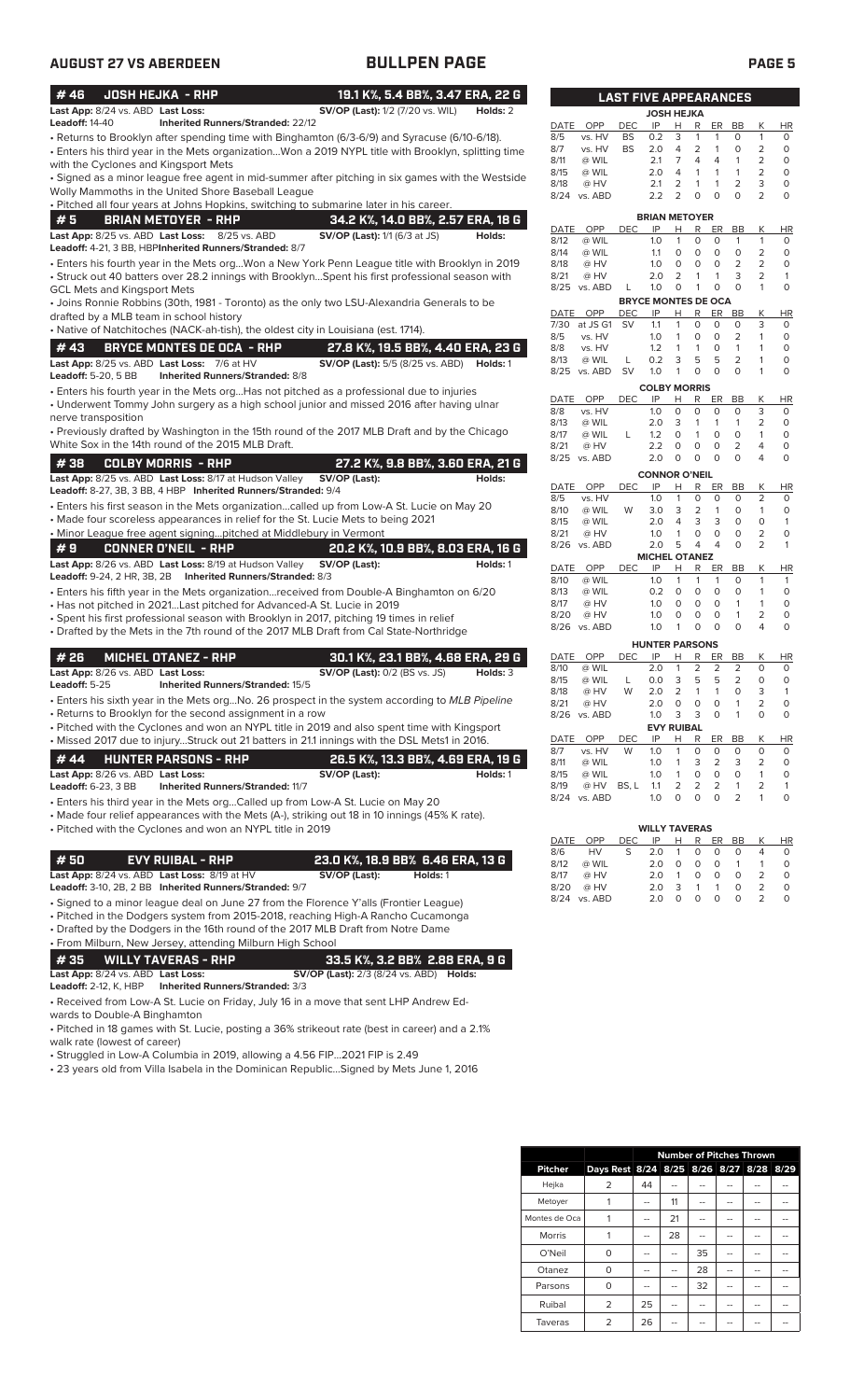| <b>AUGUST 27 VS ABERDEEN</b>                                                                                                                                                                                                  | <b>BULLPEN PAGE</b>                                     |            |              |                         |                               |                            |                        |                                                              |                              | <b>PAGE 5</b>                    |                                 |
|-------------------------------------------------------------------------------------------------------------------------------------------------------------------------------------------------------------------------------|---------------------------------------------------------|------------|--------------|-------------------------|-------------------------------|----------------------------|------------------------|--------------------------------------------------------------|------------------------------|----------------------------------|---------------------------------|
| <b>JOSH HEJKA - RHP</b><br>#46                                                                                                                                                                                                | 19.1 K%, 5.4 BB%, 3.47 ERA, 22 G                        |            |              |                         | <b>LAST FIVE APPEARANCES</b>  |                            |                        |                                                              |                              |                                  |                                 |
| Last App: 8/24 vs. ABD Last Loss:<br><b>Inherited Runners/Stranded: 22/12</b>                                                                                                                                                 | <b>SV/OP (Last):</b> 1/2 (7/20 vs. WIL)                 | Holds: 2   |              |                         |                               |                            | <b>JOSH HEJKA</b>      |                                                              |                              |                                  |                                 |
| <b>Leadoff: 14-40</b><br>• Returns to Brooklyn after spending time with Binghamton (6/3-6/9) and Syracuse (6/10-6/18).<br>• Enters his third year in the Mets organizationWon a 2019 NYPL title with Brooklyn, splitting time |                                                         | 8/5<br>8/7 | DATE         | OPP<br>vs. HV<br>vs. HV | DEC<br><b>BS</b><br><b>BS</b> | IP<br>0.2<br>2.0           | H<br>3<br>4            | R<br>ER<br>$\mathbf{1}$<br>$\mathbf{1}$<br>2<br>$\mathbf{1}$ | BB<br>0<br>0                 | К<br>$\mathbf{1}$<br>2           | <b>HR</b><br>$\circ$<br>$\circ$ |
| with the Cyclones and Kingsport Mets                                                                                                                                                                                          |                                                         |            | 8/11<br>8/15 | @ WIL<br>@ WIL          |                               | 2.1<br>2.0                 | 7<br>4                 | 4<br>4<br>$\mathbf{1}$<br>$\overline{1}$                     | $\mathbf{1}$<br>$\mathbf{1}$ | 2<br>$\overline{2}$              | $\circ$<br>$\mathsf O$          |
| · Signed as a minor league free agent in mid-summer after pitching in six games with the Westside<br>Wolly Mammoths in the United Shore Baseball League                                                                       |                                                         |            | 8/18         | @ HV<br>8/24 vs. ABD    |                               | 2.1<br>2.2                 | 2<br>2                 | $\mathbf{1}$<br>$\mathbf{1}$<br>$\circ$<br>$\circ$           | 2<br>$\Omega$                | 3<br>$\overline{2}$              | $\circ$<br>$\circ$              |
| . Pitched all four years at Johns Hopkins, switching to submarine later in his career.<br>#5<br><b>BRIAN METOYER - RHP</b>                                                                                                    | 34.2 K%, 14.0 BB%, 2.57 ERA, 18 G                       |            |              |                         |                               | <b>BRIAN METOYER</b>       |                        |                                                              |                              |                                  |                                 |
| Last App: 8/25 vs. ABD Last Loss: 8/25 vs. ABD                                                                                                                                                                                | <b>SV/OP (Last):</b> 1/1 (6/3 at JS)                    | Holds:     | DATE         | OPP                     | <b>DEC</b>                    | IP                         | H                      | R<br>ER                                                      | BB                           | К                                | <b>HR</b>                       |
| Leadoff: 4-21, 3 BB, HBPInherited Runners/Stranded: 8/7                                                                                                                                                                       |                                                         |            | 8/12<br>8/14 | @ WIL<br>@ WIL          |                               | 1.0<br>1.1                 | $\mathbf{1}$<br>0      | $\circ$<br>$\circ$<br>0<br>0                                 | $\mathbf{1}$<br>$\circ$      | $\mathbf{1}$<br>$\overline{2}$   | $\circ$<br>$\circ$              |
| · Enters his fourth year in the Mets orgWon a New York Penn League title with Brooklyn in 2019                                                                                                                                |                                                         |            | 8/18         | @ HV                    |                               | 1.0                        | 0                      | $\circ$<br>$\circ$                                           | $\overline{2}$               | $\overline{2}$                   | $\circ$                         |
| • Struck out 40 batters over 28.2 innings with BrooklynSpent his first professional season with<br><b>GCL Mets and Kingsport Mets</b>                                                                                         |                                                         |            | 8/21         | @ HV<br>8/25 vs. ABD    | L                             | 2.0<br>1.0                 | 2<br>0                 | $\mathbf{1}$<br>$\mathbf{1}$<br>$\circ$<br>$\mathbf{1}$      | 3<br>$\circ$                 | $\overline{2}$<br>$\mathbf{1}$   | $\overline{1}$<br>$\circ$       |
| • Joins Ronnie Robbins (30th, 1981 - Toronto) as the only two LSU-Alexandria Generals to be                                                                                                                                   |                                                         |            |              |                         |                               | <b>BRYCE MONTES DE OCA</b> |                        |                                                              |                              |                                  |                                 |
| drafted by a MLB team in school history                                                                                                                                                                                       |                                                         |            | DATE<br>7/30 | OPP<br>at JS G1         | DEC<br><b>SV</b>              | IP<br>1.1                  | H<br>$\mathbf{1}$      | R<br>ER<br>$\circ$<br>$\circ$                                | BB<br>0                      | К<br>3                           | <b>HR</b><br>$\circ$            |
| • Native of Natchitoches (NACK-ah-tish), the oldest city in Louisiana (est. 1714).                                                                                                                                            |                                                         | 8/5        |              | vs. HV                  |                               | 1.0                        | $\mathbf{1}$           | 0<br>0                                                       | 2                            | $\overline{1}$                   | $\circ$                         |
| #43<br>BRYCE MONTES DE OCA - RHP                                                                                                                                                                                              | 27.8 K%, 19.5 BB%, 4.40 ERA, 23 G                       | 8/8        |              | vs. HV                  |                               | 1.2                        | $\mathbf{1}$           | 1<br>0                                                       | $\mathbf{1}$                 | $\mathbf{1}$                     | $\circ$                         |
| Last App: 8/25 vs. ABD Last Loss: 7/6 at HV                                                                                                                                                                                   | <b>SV/OP (Last):</b> 5/5 (8/25 vs. ABD) <b>Holds:</b> 1 |            | 8/13         | @ WIL<br>8/25 vs. ABD   | L<br><b>SV</b>                | 0.2<br>1.0                 | 3<br>$\mathbf{1}$      | 5<br>5<br>$\circ$<br>0                                       | $\overline{2}$<br>$\Omega$   | $\overline{1}$<br>$\overline{1}$ | $\circ$<br>$\circ$              |
| <b>Leadoff: 5-20, 5 BB</b><br><b>Inherited Runners/Stranded: 8/8</b>                                                                                                                                                          |                                                         |            |              |                         |                               | <b>COLBY MORRIS</b>        |                        |                                                              |                              |                                  |                                 |
| • Enters his fourth year in the Mets orgHas not pitched as a professional due to injuries                                                                                                                                     |                                                         |            | DATE         | OPP                     | <b>DEC</b>                    | IP                         | H                      | R<br>ER                                                      | BB                           | К                                | HR                              |
| • Underwent Tommy John surgery as a high school junior and missed 2016 after having ulnar                                                                                                                                     |                                                         | 8/8        |              | vs. HV                  |                               | 1.0                        | 0                      | 0<br>0                                                       | 0                            | 3                                | $\circ$                         |
| nerve transposition<br>• Previously drafted by Washington in the 15th round of the 2017 MLB Draft and by the Chicago                                                                                                          |                                                         |            | 8/13         | @ WIL                   |                               | 2.0                        | 3                      | $\overline{1}$<br>$\mathbf{1}$                               | $\mathbf{1}$                 | 2                                | $\circ$                         |
| White Sox in the 14th round of the 2015 MLB Draft.                                                                                                                                                                            |                                                         |            | 8/17<br>8/21 | @ WIL<br>@ HV           | L                             | 1.2<br>2.2                 | 0<br>0                 | $\mathbf{1}$<br>$\circ$<br>0<br>$\circ$                      | $\circ$<br>2                 | $\mathbf{1}$<br>4                | $\circ$<br>$\circ$              |
|                                                                                                                                                                                                                               |                                                         |            |              | 8/25 vs. ABD            |                               | 2.0                        | $\circ$                | $\circ$<br>$\circ$                                           | $\circ$                      | $\overline{4}$                   | $\circ$                         |
| #38<br><b>COLBY MORRIS - RHP</b>                                                                                                                                                                                              | 27.2 K%, 9.8 BB%, 3.60 ERA, 21 G                        |            |              |                         |                               | <b>CONNOR O'NEIL</b>       |                        |                                                              |                              |                                  |                                 |
| Last App: 8/25 vs. ABD Last Loss: 8/17 at Hudson Valley<br>Leadoff: 8-27, 3B, 3 BB, 4 HBP Inherited Runners/Stranded: 9/4                                                                                                     | SV/OP (Last):                                           | Holds:     | DATE         | OPP                     | <b>DEC</b>                    | IP                         | H                      | R<br>ER                                                      | BB                           | К                                | <b>HR</b>                       |
| • Enters his first season in the Mets organizationcalled up from Low-A St. Lucie on May 20                                                                                                                                    |                                                         | 8/5        |              | vs. HV                  |                               | 1.0                        | 1                      | 0<br>$\circ$                                                 | 0                            | $\overline{2}$                   | 0                               |
| • Made four scoreless appearances in relief for the St. Lucie Mets to being 2021                                                                                                                                              |                                                         |            | 8/10<br>8/15 | @ WIL<br>@ WIL          | W                             | 3.0<br>2.0                 | 3<br>$\overline{4}$    | 2<br>$\overline{1}$<br>3<br>3                                | 0<br>$\circ$                 | $\mathbf{1}$<br>$\circ$          | $\circ$<br>$\overline{1}$       |
| . Minor League free agent signingpitched at Middlebury in Vermont                                                                                                                                                             |                                                         |            | 8/21         | @ HV                    |                               | 1.0                        | $\mathbf{1}$           | 0<br>$\circ$                                                 | $\circ$                      | $\overline{2}$                   | $\circ$                         |
| #9<br><b>CONNER O'NEIL - RHP</b>                                                                                                                                                                                              | 20.2 K%, 10.9 BB%, 8.03 ERA, 16 G                       |            |              | 8/26 vs. ABD            |                               | 2.0                        | 5                      | 4<br>$\overline{4}$                                          | $\Omega$                     | $\overline{2}$                   | $\mathbf{1}$                    |
| Last App: 8/26 vs. ABD Last Loss: 8/19 at Hudson Valley                                                                                                                                                                       | SV/OP (Last):                                           | Holds: 1   |              |                         |                               | <b>MICHEL OTANEZ</b>       |                        |                                                              |                              |                                  |                                 |
| Leadoff: 9-24, 2 HR, 3B, 2B Inherited Runners/Stranded: 8/3                                                                                                                                                                   |                                                         |            | DATE<br>8/10 | OPP<br>@ WIL            | <b>DEC</b>                    | IP<br>1.0                  | H<br>$\mathbf{1}$      | R<br>ER<br>$\mathbf{1}$<br>$\mathbf{1}$                      | BB<br>0                      | K<br>$\mathbf{1}$                | <b>HR</b><br>$\overline{1}$     |
| • Enters his fifth year in the Mets organizationreceived from Double-A Binghamton on 6/20                                                                                                                                     |                                                         |            | 8/13         | @ WIL                   |                               | 0.2                        | $\circ$                | 0<br>$\circ$                                                 | 0                            | $\mathbf{1}$                     | $\circ$                         |
| • Has not pitched in 2021Last pitched for Advanced-A St. Lucie in 2019                                                                                                                                                        |                                                         |            | 8/17         | @ HV                    |                               | 1.0                        | 0                      | $\circ$<br>$\circ$                                           | $\mathbf{1}$                 | $\mathbf{1}$                     | $\circ$                         |
| • Spent his first professional season with Brooklyn in 2017, pitching 19 times in relief                                                                                                                                      |                                                         |            | 8/20         | @ HV                    |                               | 1.0                        | 0                      | O<br>0                                                       | $\mathbf{1}$                 | $\overline{2}$                   | $\circ$                         |
| • Drafted by the Mets in the 7th round of the 2017 MLB Draft from Cal State-Northridge                                                                                                                                        |                                                         |            |              | 8/26 vs. ABD            |                               | 1.0                        | $\mathbf{1}$           | $\circ$<br>$\circ$                                           | $\circ$                      | $\overline{4}$                   | $\circ$                         |
|                                                                                                                                                                                                                               |                                                         |            |              |                         |                               | <b>HUNTER PARSONS</b>      |                        |                                                              |                              |                                  |                                 |
| #26<br><b>MICHEL OTANEZ - RHP</b>                                                                                                                                                                                             | 30.1 K%, 23.1 BB%, 4.68 ERA, 29 G                       |            | DATE<br>8/10 | OPP<br>@ WIL            | <b>DEC</b>                    | IP<br>2.0                  | H<br>$\overline{1}$    | R<br>ER<br>2<br>2                                            | BB<br>2                      | К<br>$\circ$                     | HR<br>$\circ$                   |
| Last App: 8/26 vs. ABD Last Loss:                                                                                                                                                                                             | <b>SV/OP (Last):</b> 0/2 (BS vs. JS) Holds: 3           |            | 8/15         | @ WIL                   | L                             | 0.0                        | 3                      | 5<br>5                                                       | 2                            | 0                                | 0                               |
| <b>Inherited Runners/Stranded: 15/5</b><br>Leadoff: 5-25                                                                                                                                                                      |                                                         |            | 8/18         | @ HV                    | W                             | 2.0                        | 2                      | $\overline{1}$<br>1                                          | 0                            | 3                                | $\overline{1}$                  |
| • Enters his sixth year in the Mets orgNo. 26 prospect in the system according to MLB Pipeline<br>• Returns to Brooklyn for the second assignment in a row                                                                    |                                                         |            | 8/21         | @ HV                    |                               | 2.0                        | 0                      | 0<br>0                                                       | $\mathbf{1}$                 | 2                                | 0                               |
| • Pitched with the Cyclones and won an NYPL title in 2019 and also spent time with Kingsport                                                                                                                                  |                                                         |            |              | 8/26 vs. ABD            |                               | 1.0                        | 3<br><b>EVY RUIBAL</b> | 3<br>0                                                       | 1                            | $\circ$                          | 0                               |
| • Missed 2017 due to injuryStruck out 21 batters in 21.1 innings with the DSL Mets1 in 2016.                                                                                                                                  |                                                         |            |              | DATE OPP                | DEC                           | IP                         | H                      | R                                                            | ER BB                        | К                                | HR                              |
| #44<br><b>HUNTER PARSONS - RHP</b>                                                                                                                                                                                            | 26.5 K%, 13.3 BB%, 4.69 ERA, 19 G                       | 8/7        |              | vs. HV                  | W                             | 1.0                        | 1                      | 0<br>0                                                       | 0                            | 0                                | 0                               |
| Last App: 8/26 vs. ABD Last Loss:                                                                                                                                                                                             |                                                         |            | 8/11<br>8/15 | @ WIL                   |                               | 1.0                        | $\mathbf{1}$           | 3<br>2                                                       | 3<br>0                       | 2<br>$\mathbf{1}$                | 0                               |
| <b>Leadoff: 6-23, 3 BB</b><br><b>Inherited Runners/Stranded: 11/7</b>                                                                                                                                                         | SV/OP (Last):                                           | Holds: 1   | 8/19         | @ WIL<br>@ HV           | BS, L                         | 1.0<br>1.1                 | $\mathbf{1}$<br>2      | 0<br>0<br>2<br>2                                             | $\mathbf{1}$                 | 2                                | 0<br>$\mathbf{1}$               |
| • Enters his third year in the Mets orgCalled up from Low-A St. Lucie on May 20                                                                                                                                               |                                                         |            |              | 8/24 vs. ABD            |                               | 1.0                        | 0                      | 0<br>$\circ$                                                 | 2                            | $\mathbf{1}$                     | 0                               |
| • Made four relief appearances with the Mets (A-), striking out 18 in 10 innings (45% K rate).                                                                                                                                |                                                         |            |              |                         |                               |                            |                        |                                                              |                              |                                  |                                 |
| • Pitched with the Cyclones and won an NYPL title in 2019                                                                                                                                                                     |                                                         |            |              |                         |                               | <b>WILLY TAVERAS</b>       |                        |                                                              |                              |                                  |                                 |
|                                                                                                                                                                                                                               |                                                         |            | DATE         | OPP                     | DEC                           | IP                         | Н                      | R<br>ER                                                      | BB                           | К                                | $\overline{HR}$                 |
| #50<br><b>EVY RUIBAL - RHP</b>                                                                                                                                                                                                | 23.0 K%, 18.9 BB% 6.46 ERA, 13 G                        | 8/6        |              | HV                      | S                             | 2.0                        | 1                      | 0<br>0                                                       | 0                            | 4                                | 0                               |
| Last App: 8/24 vs. ABD Last Loss: 8/19 at HV                                                                                                                                                                                  | SV/OP (Last):<br>Holds: 1                               |            | 8/12<br>8/17 | @ WIL<br>@ HV           |                               | 2.0<br>2.0                 | 0<br>$\overline{1}$    | 0<br>0<br>0<br>0                                             | $\mathbf{1}$<br>0            | -1<br>2                          | 0<br>0                          |
| Leadoff: 3-10, 2B, 2 BB Inherited Runners/Stranded: 9/7                                                                                                                                                                       |                                                         |            | 8/20         | @ HV                    |                               | 2.0                        | 3                      | $\mathbf{1}$<br>$\mathbf{1}$                                 | 0                            | 2                                | 0                               |
| • Signed to a minor league deal on June 27 from the Florence Y'alls (Frontier League)                                                                                                                                         |                                                         |            |              | 8/24 vs. ABD            |                               | 2.0                        | 0                      | 0<br>0                                                       | 0                            | 2                                | 0                               |
| • Pitched in the Dodgers system from 2015-2018, reaching High-A Rancho Cucamonga                                                                                                                                              |                                                         |            |              |                         |                               |                            |                        |                                                              |                              |                                  |                                 |
| • Drafted by the Dodgers in the 16th round of the 2017 MLB Draft from Notre Dame                                                                                                                                              |                                                         |            |              |                         |                               |                            |                        |                                                              |                              |                                  |                                 |
| • From Milburn, New Jersey, attending Milburn High School                                                                                                                                                                     |                                                         |            |              |                         |                               |                            |                        |                                                              |                              |                                  |                                 |
| #35<br><b>WILLY TAVERAS - RHP</b>                                                                                                                                                                                             | 33.5 K%, 3.2 BB% 2.88 ERA, 9 G                          |            |              |                         |                               |                            |                        |                                                              |                              |                                  |                                 |
| Last App: 8/24 vs. ABD Last Loss:                                                                                                                                                                                             | <b>SV/OP (Last):</b> 2/3 (8/24 vs. ABD) <b>Holds:</b>   |            |              |                         |                               |                            |                        |                                                              |                              |                                  |                                 |
| Leadoff: $2-12$ , K, HBP<br><b>Inherited Runners/Stranded: 3/3</b><br>Boociund from Louis Ct. Lugio on Eriday, July 16 in a mayo that cont LHD Androw Ed                                                                      |                                                         |            |              |                         |                               |                            |                        |                                                              |                              |                                  |                                 |

• Received from Low-A St. Lucie on Friday, July 16 in a move that sent LHP Andrew Edwards to Double-A Binghamton

• Pitched in 18 games with St. Lucie, posting a 36% strikeout rate (best in career) and a 2.1% walk rate (lowest of career)

• Struggled in Low-A Columbia in 2019, allowing a 4.56 FIP...2021 FIP is 2.49

• 23 years old from Villa Isabela in the Dominican Republic...Signed by Mets June 1, 2016

|                      |          | AST        | <b>FIVE APPEARANCES</b>    |                |                    |                |                |                |             |  |  |  |
|----------------------|----------|------------|----------------------------|----------------|--------------------|----------------|----------------|----------------|-------------|--|--|--|
| <b>JOSH HEJKA</b>    |          |            |                            |                |                    |                |                |                |             |  |  |  |
| <b>DATE</b>          | OPP      | <b>DEC</b> | IP                         | Н              | R                  | ER             | <b>BB</b>      | Κ              | HR          |  |  |  |
| 8/5                  | vs. HV   | BS         | 0.2                        | 3              | 1                  | 1              | 0              | 1              | 0           |  |  |  |
| 8/7                  | vs. HV   | <b>BS</b>  | 2.0                        | 4              | $\overline{2}$     | 1              | 0              | $\overline{2}$ | $\mathbf 0$ |  |  |  |
| 8/11                 | @ WIL    |            | 2.1                        | 7              | 4                  | 4              | 1              | $\overline{2}$ | O           |  |  |  |
| 8/15                 | @ WIL    |            | 2.0                        | 4              | 1                  | 1              | 1              | $\overline{2}$ | $\circ$     |  |  |  |
| 8/18                 | @ HV     |            | 2.1                        | $\overline{2}$ | 1                  | 1              | $\overline{2}$ | 3              | $\Omega$    |  |  |  |
| 8/24                 | vs. ABD  |            | 2.2                        | 2              | 0                  | 0              | 0              | 2              | 0           |  |  |  |
| <b>BRIAN METOYER</b> |          |            |                            |                |                    |                |                |                |             |  |  |  |
| DATE                 | OPP      | <b>DEC</b> | IP                         | Н              | R                  | ER             | BB             | Κ              | HR          |  |  |  |
| 8/12                 | @ WIL    |            | 1.0                        | 1              | 0                  | 0              | 1              | 1              | 0           |  |  |  |
| 8/14                 | @ WIL    |            | 1.1                        | 0              | 0                  | 0              | 0              | 2              | 0           |  |  |  |
| 8/18                 | @ HV     |            | 1.0                        | 0              | 0                  | 0              | $\overline{2}$ | 2              | 0           |  |  |  |
| 8/21                 | @ HV     |            | 2.0                        | 2              | 1                  | 1              | 3              | $\overline{2}$ | 1           |  |  |  |
| 8/25                 | vs. ABD  | L          | 1.0                        | 0              | 1                  | 0              | 0              | 1              | 0           |  |  |  |
|                      |          |            | <b>BRYCE MONTES DE OCA</b> |                |                    |                |                |                |             |  |  |  |
| <b>DATE</b>          | OPP      | <b>DEC</b> | IP                         | Н              | R                  | ER             | <b>BB</b>      | Κ              | <b>HR</b>   |  |  |  |
| 7/30                 | at JS G1 | SV         | 1.1                        | 1              | 0                  | O              | O              | 3              | 0           |  |  |  |
| 8/5                  | vs. HV   |            | 1.0                        | 1              | 0                  | 0              | $\overline{2}$ | $\mathbf{1}$   | 0           |  |  |  |
| 8/8                  | vs. HV   |            | 1.2                        | 1              | 1                  | 0              | 1              | 1              | 0           |  |  |  |
| 8/13                 | @ WIL    | L          | 0.2                        | 3              | 5                  | 5              | $\overline{2}$ | 1              | 0           |  |  |  |
| 8/25                 | vs. ABD  | SV         | 1.0                        | 1              | 0                  | 0              | 0              | 1              | 0           |  |  |  |
|                      |          |            | <b>COLBY</b>               |                | <b>MORRIS</b>      |                |                |                |             |  |  |  |
| DATE                 | OPP      | DEC        | IP                         | Н              | R                  | ER             | <b>BB</b>      | Κ              | HR          |  |  |  |
| 8/8                  | vs. HV   |            | 1.0                        | 0              | 0                  | 0              | 0              | 3              | 0           |  |  |  |
| 8/13                 | @ WIL    |            | 2.0                        | 3              | 1                  | 1              | 1              | $\overline{2}$ | O           |  |  |  |
| 8/17                 | @ WIL    | L          | 1.2                        | 0              | 1                  | 0              | 0              | 1              | $\circ$     |  |  |  |
| 8/21                 | @ HV     |            | 2.2                        | $\Omega$       | $\Omega$           | O              | $\overline{2}$ | 4              | $\Omega$    |  |  |  |
| 8/25                 | vs. ABD  |            | 2.0                        | 0              | 0                  | 0              | 0              | 4              | 0           |  |  |  |
|                      |          |            | <b>CONNOR O'NEIL</b>       |                |                    |                |                |                |             |  |  |  |
| DATE                 | OPP      | DEC        | IP                         | Н              | R                  | ER             | BB             | Κ              | ΗR          |  |  |  |
| 8/5                  | vs. HV   |            | 1.0                        | 1              | 0                  | 0              | 0              | $\overline{2}$ | 0           |  |  |  |
| 8/10                 | @ WIL    | W          | 3.0                        | 3              | $\overline{2}$     | 1              | 0              | 1              | 0           |  |  |  |
| 8/15                 | @ WIL    |            | 2.0                        | 4              | 3                  | 3              | 0              | 0              | 1           |  |  |  |
| 8/21                 | @ HV     |            | 1.0                        | 1              | 0                  | 0              | $\mathbf 0$    | 2              | 0           |  |  |  |
| 8/26                 | vs. ABD  |            | 2.0<br><b>MICHEL</b>       | 5              | 4<br><b>OTANEZ</b> | 4              | $\Omega$       | 2              | 1           |  |  |  |
| DATE                 | OPP      | DEC        | IP                         | Н              | R                  | ER             | ВB             | Κ              | HR          |  |  |  |
| 8/10                 | @ WIL    |            | 1.0                        | 1              | 1                  | 1              | 0              | 1              | 1           |  |  |  |
| 8/13                 | @ WIL    |            | 0.2                        | 0              | 0                  | 0              | 0              | 1              | 0           |  |  |  |
| 8/17                 | @ HV     |            | 1.0                        | 0              | 0                  | 0              | 1              | 1              | 0           |  |  |  |
| 8/20                 | @ HV     |            | 1.0                        | O              | 0                  | 0              | 1              | $\overline{2}$ | 0           |  |  |  |
| 8/26                 | vs. ABD  |            | 1.0                        | 1              | 0                  | 0              | 0              | 4              | 0           |  |  |  |
|                      |          |            | <b>HUNTER PARSONS</b>      |                |                    |                |                |                |             |  |  |  |
| <b>DATE</b>          | OPP      | DEC        | IP                         | н              | R                  | ER             | <b>BB</b>      | Κ              | <b>HR</b>   |  |  |  |
| 8/10                 | @ WIL    |            | 2.0                        | 1              | 2                  | 2              | 2              | 0              | 0           |  |  |  |
| 8/15                 | @ WIL    | L          | 0.0                        | 3              | 5                  | 5              | 2              | 0              | 0           |  |  |  |
| 8/18                 | @ HV     | W          | 2.0                        | 2              | 1                  | 1              | 0              | 3              | 1           |  |  |  |
| 8/21                 | @ HV     |            | 2.0                        | 0              | 0                  | 0              | 1              | $\overline{2}$ | $\mathbf 0$ |  |  |  |
| 8/26                 | vs. ABD  |            | 1.0                        | 3              | 3                  | 0              | 1              | 0              | 0           |  |  |  |
|                      |          |            | <b>EVY RUIBAL</b>          |                |                    |                |                |                |             |  |  |  |
| <b>DATE</b>          | OPP      | DEC        | IP                         | Н              | R                  | ER             | <b>BB</b>      | Κ              | ΗR          |  |  |  |
| 8/7                  | vs. HV   | W          | 1.0                        | 1              | 0                  | 0              | 0              | 0              | 0           |  |  |  |
| 8/11                 | @ WIL    |            | 1.0                        | 1              | 3                  | 2              | 3              | $\overline{2}$ | O           |  |  |  |
| 8/15                 | @ WIL    |            | 1.0                        | 1              | 0                  | 0              | $\circ$        | 1              | $\mathbf 0$ |  |  |  |
| 8/19                 | @ HV     | BS, L      | 1.1                        | $\overline{2}$ | $\overline{2}$     | $\overline{2}$ | 1              | $\overline{2}$ | 1           |  |  |  |
| 8/24                 | vs. ABD  |            | 1.0                        | 0              | 0                  | 0              | 2              | 1              | 0           |  |  |  |

| <b>WILLY TAVERAS</b> |         |            |     |   |                   |              |    |   |    |
|----------------------|---------|------------|-----|---|-------------------|--------------|----|---|----|
| DATE                 | OPP     | <b>DEC</b> | IP  | н | R                 | ER           | BB | K | ΗR |
| 8/6                  | HV      | S          | 2.0 | 1 | O                 | O            | O  | Δ | O  |
| 8/12                 | @ WIL   |            | 2 O | O | O                 | Ω            | 1  |   | O  |
| 8/17                 | @ HV    |            | 2.0 |   | O                 | Ω            | O  |   | O  |
| 8/20                 | @ HV    |            | 2 O | 3 | 1                 | 1            | O  |   | O  |
| 8/24                 | vs. ABD |            | 2 O |   | $\mathbf{\Omega}$ | $\mathbf{O}$ | O  |   |    |

|                | <b>Number of Pitches Thrown</b>         |    |    |    |    |    |  |  |
|----------------|-----------------------------------------|----|----|----|----|----|--|--|
| <b>Pitcher</b> | Days Rest 8/24 8/25 8/26 8/27 8/28 8/29 |    |    |    |    |    |  |  |
| Hejka          | 2                                       | 44 |    |    |    |    |  |  |
| Metoyer        |                                         | -- | 11 |    |    | -- |  |  |
| Montes de Oca  |                                         |    | 21 |    |    |    |  |  |
| Morris         |                                         |    | 28 |    |    |    |  |  |
| O'Neil         | O                                       |    |    | 35 |    |    |  |  |
| Otanez         | ∩                                       |    |    | 28 |    |    |  |  |
| Parsons        | O                                       | -- |    | 32 | -- |    |  |  |
| Ruibal         | 2                                       | 25 |    |    |    |    |  |  |
| Taveras        | 2                                       | 26 |    |    |    |    |  |  |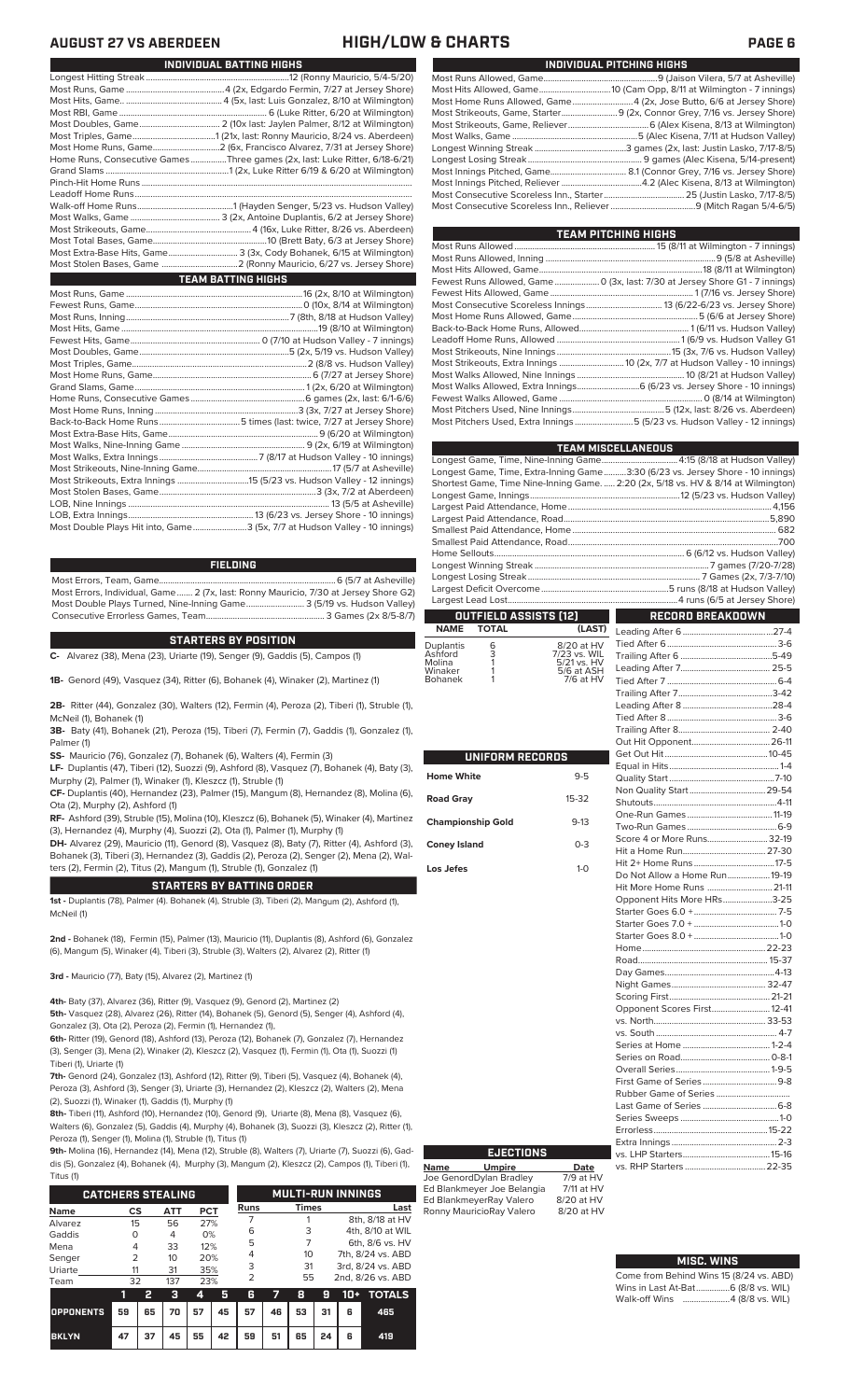| INDIVIDUAL PITCHING HIGHS                                                 |
|---------------------------------------------------------------------------|
|                                                                           |
|                                                                           |
| Most Home Runs Allowed, Game 4 (2x, Jose Butto, 6/6 at Jersey Shore)      |
| Most Strikeouts, Game, Starter 9 (2x, Connor Grey, 7/16 vs. Jersey Shore) |
|                                                                           |
|                                                                           |
|                                                                           |
|                                                                           |
|                                                                           |
|                                                                           |
|                                                                           |
|                                                                           |

| TEAM PITCHING HIGHS                                                          |  |
|------------------------------------------------------------------------------|--|
|                                                                              |  |
|                                                                              |  |
|                                                                              |  |
| Fewest Runs Allowed, Game  0 (3x, last: 7/30 at Jersey Shore G1 - 7 innings) |  |
|                                                                              |  |
|                                                                              |  |
|                                                                              |  |
|                                                                              |  |
|                                                                              |  |
|                                                                              |  |
|                                                                              |  |
|                                                                              |  |
| Most Walks Allowed, Extra Innings 6 (6/23 vs. Jersey Shore - 10 innings)     |  |
|                                                                              |  |
|                                                                              |  |
| Most Pitchers Used, Extra Innings 5 (5/23 vs. Hudson Valley - 12 innings)    |  |
|                                                                              |  |

|                                                                                    | <b>TEAM MISCELLANEOUS</b>                                          |
|------------------------------------------------------------------------------------|--------------------------------------------------------------------|
| Longest Game, Time, Nine-Inning Game 4:15 (8/18 at Hudson Valley)                  |                                                                    |
| Longest Game, Time, Extra-Inning Game3:30 (6/23 vs. Jersey Shore - 10 innings)     |                                                                    |
| Shortest Game, Time Nine-Inning Game.  2:20 (2x, 5/18 vs. HV & 8/14 at Wilmington) |                                                                    |
|                                                                                    |                                                                    |
|                                                                                    |                                                                    |
|                                                                                    |                                                                    |
|                                                                                    |                                                                    |
|                                                                                    |                                                                    |
|                                                                                    |                                                                    |
|                                                                                    |                                                                    |
|                                                                                    |                                                                    |
|                                                                                    |                                                                    |
|                                                                                    |                                                                    |
| OUTFIELD ASSISTS (12)                                                              | $\mathcal{L}^{\text{max}}_{\text{max}}$<br><b>RECORD BREAKDOWN</b> |

Tied After 7

Tied After 6.................................................3-6 Trailing After 6 .........................................5-49 Leading After 7........................................ 25-5

Trailing After 7..........................................3-42 Leading After 8 ........................................28-4

Series on Road........................................0-8-1 Overall Series..........................................1-9-5

Rubber Game of Series .................................

Series Sweeps ............................................1-0 Errorless...................................................15-22

vs. LHP Starters.......................................15-16

First Game of Series

Last Game of Series ...

Extra Innings.

vs. RHP Starters ....

## **OUTFIELD ASSISTS (12) NAME TOTAL (LAST)** Leading After 6........................................27-4

| 6 | 8/20 at HV      |
|---|-----------------|
| 3 | 7/23 vs. WIL    |
|   | $5/21$ vs. $HV$ |
|   | 5/6 at ASH      |
|   | 7/6 at HV       |
|   |                 |

| UNIFORM RECORDS          |         |                              |  |
|--------------------------|---------|------------------------------|--|
|                          |         |                              |  |
| <b>Home White</b>        | $9 - 5$ |                              |  |
|                          |         |                              |  |
| Road Gray                | 15-32   |                              |  |
|                          | $9-13$  |                              |  |
| <b>Championship Gold</b> |         |                              |  |
| <b>Coney Island</b>      | $0 - 3$ | Score 4 or More Runs 32-19   |  |
|                          |         |                              |  |
| Los Jefes                | $1 - 0$ |                              |  |
|                          |         | Do Not Allow a Home Run19-19 |  |
|                          |         |                              |  |
|                          |         | Opponent Hits More HRs3-25   |  |
|                          |         |                              |  |
|                          |         |                              |  |
|                          |         |                              |  |
|                          |         |                              |  |
|                          |         |                              |  |
|                          |         |                              |  |
|                          |         |                              |  |
|                          |         |                              |  |
|                          |         | Opponent Scores First 12-41  |  |
|                          |         |                              |  |
|                          |         |                              |  |
|                          |         |                              |  |

Home Runs, Consecutive Games ................Three games (2x, last: Luke Ritter, 6/18-6/21) Grand Slams .......................................................1 (2x, Luke Ritter 6/19 & 6/20 at Wilmington) Pinch-Hit Home Runs. Leadoff Home Runs...<br>Walk-off Home Runs.. Walk-off Home Runs...........................................1 (Hayden Senger, 5/23 vs. Hudson Valley) Most Walks, Game ........................................ 3 (2x, Antoine Duplantis, 6/2 at Jersey Shore) Most Strikeouts, Game............................................... 4 (16x, Luke Ritter, 8/26 vs. Aberdeen) Most Total Bases, Game...................................................10 (Brett Baty, 6/3 at Jersey Shore) Most Extra-Base Hits, Game............................... 3 (3x, Cody Bohanek, 6/15 at Wilmington) ..2 (Ronny Mauricio, 6/27 vs. Jersey Shore) Most Runs, Game ...............................................................................16 (2x, 8/10 at Wilmington) Fewest Runs, Game...........................................................................0 (10x, 8/14 at Wilmington) Most Runs, Inning.........................................................................7 (8th, 8/18 at Hudson Valley) Most Hits, Game ........................................................................................19 (8/10 at Wilmington) .0 (7/10 at Hudson Valley - 7 innings) Most Doubles, Game...................................................................5 (2x, 5/19 vs. Hudson Valley) , .......<br>.......2 (8/8 vs. Hudson Valley)<br>........6 (7/27 at Jersey Shore) Most Home Runs, Game....<br>Grand Slams, Game............ 1 (2x, 6/20 at Wilmington) Home Runs, Consecutive Games ...................................................6 games (2x, last: 6/1-6/6) Most Home Runs, Inning ................................................................3 (3x, 7/27 at Jersey Shore) Back-to-Back Home Runs ....................................5 times (last: twice, 7/27 at Jersey Shore) Most Extra-Base Hits, Game...................................................................9 (6/20 at Wilmington) Most Walks, Nine-Inning Game ....................................................... 9 (2x, 6/19 at Wilmington) Most Walks, Extra Innings ............................................7 (8/17 at Hudson Valley - 10 innings) **TEAM BATTING HIGHS**

Longest Hitting Streak ................................................................12 (Ronny Mauricio, 5/4-5/20) Most Runs, Game ............................................4 (2x, Edgardo Fermin, 7/27 at Jersey Shore) Most Hits, Game.. ........................................... 4 (5x, last: Luis Gonzalez, 8/10 at Wilmington) Most RBI, Game .................................................................. 6 (Luke Ritter, 6/20 at Wilmington) Most Doubles, Game.................................... 2 (10x last: Jaylen Palmer, 8/12 at Wilmington) Most Triples, Game.....................................1 (21x, last: Ronny Mauricio, 8/24 vs. Aberdeen) Most Home Runs, Game..............................2 (6x, Francisco Alvarez, 7/31 at Jersey Shore)

**INDIVIDUAL BATTING HIGHS**

| $\sim$ . The contract community of the contract of the contract of the contract of the contract of the contract of the contract of the contract of the contract of the contract of the contract of the contract of the contract |                                                                           |
|---------------------------------------------------------------------------------------------------------------------------------------------------------------------------------------------------------------------------------|---------------------------------------------------------------------------|
|                                                                                                                                                                                                                                 |                                                                           |
|                                                                                                                                                                                                                                 |                                                                           |
|                                                                                                                                                                                                                                 |                                                                           |
|                                                                                                                                                                                                                                 |                                                                           |
|                                                                                                                                                                                                                                 |                                                                           |
|                                                                                                                                                                                                                                 | Most Double Plays Hit into, Game3 (5x, 7/7 at Hudson Valley - 10 innings) |

### **FIELDING**

Most Errors, Team, Game...............................................................................6 (5/7 at Asheville) . 2 (7x, last: Ronny Mauricio, 7/30 at Jersey Shore G2)<br>Inning Game.......................... 3 (5/19 vs. Hudson Valley) Most Double Plays Turned, Nine-Inning Game.......................... 3 (5/19 vs. Hudson Valley) Consecutive Errorless Games, Team...

### **STARTERS BY POSITION**

**C-** Alvarez (38), Mena (23), Uriarte (19), Senger (9), Gaddis (5), Campos (1)

**1B-** Genord (49), Vasquez (34), Ritter (6), Bohanek (4), Winaker (2), Martinez (1)

**2B-** Ritter (44), Gonzalez (30), Walters (12), Fermin (4), Peroza (2), Tiberi (1), Struble (1), McNeil (1), Bohanek (1)

**3B-** Baty (41), Bohanek (21), Peroza (15), Tiberi (7), Fermin (7), Gaddis (1), Gonzalez (1), Palmer (1)

**SS-** Mauricio (76), Gonzalez (7), Bohanek (6), Walters (4), Fermin (3)

**LF-** Duplantis (47), Tiberi (12), Suozzi (9), Ashford (8), Vasquez (7), Bohanek (4), Baty (3), Murphy (2), Palmer (1), Winaker (1), Kleszcz (1), Struble (1)

**CF-** Duplantis (40), Hernandez (23), Palmer (15), Mangum (8), Hernandez (8), Molina (6), Ota (2), Murphy (2), Ashford (1)

**RF-** Ashford (39), Struble (15), Molina (10), Kleszcz (6), Bohanek (5), Winaker (4), Martinez (3), Hernandez (4), Murphy (4), Suozzi (2), Ota (1), Palmer (1), Murphy (1)

**DH-** Alvarez (29), Mauricio (11), Genord (8), Vasquez (8), Baty (7), Ritter (4), Ashford (3), Bohanek (3), Tiberi (3), Hernandez (3), Gaddis (2), Peroza (2), Senger (2), Mena (2), Walters (2), Fermin (2), Titus (2), Mangum (1), Struble (1), Gonzalez (1)

### **STARTERS BY BATTING ORDER**

**1st -** Duplantis (78), Palmer (4). Bohanek (4), Struble (3), Tiberi (2), Mangum (2), Ashford (1), McNeil (1)

**2nd -** Bohanek (18), Fermin (15), Palmer (13), Mauricio (11), Duplantis (8), Ashford (6), Gonzalez (6), Mangum (5), Winaker (4), Tiberi (3), Struble (3), Walters (2), Alvarez (2), Ritter (1)

**3rd -** Mauricio (77), Baty (15), Alvarez (2), Martinez (1)

**4th-** Baty (37), Alvarez (36), Ritter (9), Vasquez (9), Genord (2), Martinez (2)

**5th-** Vasquez (28), Alvarez (26), Ritter (14), Bohanek (5), Genord (5), Senger (4), Ashford (4), Gonzalez (3), Ota (2), Peroza (2), Fermin (1), Hernandez (1),

**6th-** Ritter (19), Genord (18), Ashford (13), Peroza (12), Bohanek (7), Gonzalez (7), Hernandez (3), Senger (3), Mena (2), Winaker (2), Kleszcz (2), Vasquez (1), Fermin (1), Ota (1), Suozzi (1) Tiberi (1), Uriarte (1)

**7th-** Genord (24), Gonzalez (13), Ashford (12), Ritter (9), Tiberi (5), Vasquez (4), Bohanek (4), Peroza (3), Ashford (3), Senger (3), Uriarte (3), Hernandez (2), Kleszcz (2), Walters (2), Mena (2), Suozzi (1), Winaker (1), Gaddis (1), Murphy (1)

**8th-** Tiberi (11), Ashford (10), Hernandez (10), Genord (9), Uriarte (8), Mena (8), Vasquez (6), Walters (6), Gonzalez (5), Gaddis (4), Murphy (4), Bohanek (3), Suozzi (3), Kleszcz (2), Ritter (1), Peroza (1), Senger (1), Molina (1), Struble (1), Titus (1)

**9th-** Molina (16), Hernandez (14), Mena (12), Struble (8), Walters (7), Uriarte (7), Suozzi (6), Gaddis (5), Gonzalez (4), Bohanek (4), Murphy (3), Mangum (2), Kleszcz (2), Campos (1), Tiberi (1),

| Titus (1)        |                          |    |            |            |    |                |    |                          |    |       |                   |
|------------------|--------------------------|----|------------|------------|----|----------------|----|--------------------------|----|-------|-------------------|
|                  | <b>CATCHERS STEALING</b> |    |            |            |    |                |    | <b>MULTI-RUN INNINGS</b> |    |       |                   |
| <b>Name</b>      | CS                       |    | <b>ATT</b> | <b>PCT</b> |    | <b>Runs</b>    |    | <b>Times</b>             |    |       | Last              |
| Alvarez          | 15                       |    | 56         | 27%        |    |                |    |                          |    |       | 8th, 8/18 at HV   |
| Gaddis           | ∩                        |    | 4          | 0%         |    | 6              |    | 3                        |    |       | 4th, 8/10 at WIL  |
| Mena             | 4                        |    | 33         | 12%        |    | 5              |    |                          |    |       | 6th, 8/6 vs. HV   |
| Senger           | $\mathcal{P}$            |    | 10         | 20%        |    | 4              |    | 10                       |    |       | 7th, 8/24 vs. ABD |
| Uriarte          | 11                       |    | 31         | 35%        |    | 3              |    | 31                       |    |       | 3rd, 8/24 vs. ABD |
| Team             | 32                       |    | 137        | 23%        |    | $\overline{2}$ |    | 55                       |    |       | 2nd, 8/26 vs. ABD |
|                  | 1                        | 2  | з          | 4          | 5  | 6              | 7  | 8                        | 9  | $10+$ | <b>TOTALS</b>     |
| <b>OPPONENTS</b> | 59                       | 65 | 70         | 57         | 45 | 57             | 46 | 53                       | 31 | 6     | 465               |
| <b>BKLYN</b>     | 47                       | 37 | 45         | 55         | 42 | 59             | 51 | 65                       | 24 | 6     | 419               |

| <b>MISC. WINS</b> |
|-------------------|
|-------------------|

| Come from Behind Wins 15 (8/24 vs. ABD) |  |
|-----------------------------------------|--|
|                                         |  |
|                                         |  |

| <b>EJECTIONS</b> |                            |                |  |  |  |  |
|------------------|----------------------------|----------------|--|--|--|--|
| <b>Name</b>      | <b>Umpire</b>              | Date           |  |  |  |  |
|                  | Joe GenordDylan Bradley    | 7/9 at HV      |  |  |  |  |
|                  | Ed Blankmever Joe Belangia | $7/11$ at $HV$ |  |  |  |  |

Ed Blankmeyer Joe Belangia 7/11 at HV Ed BlankmeyerRay Valero 8/20 at HV<br>Ronny MauricioRay Valero 8/20 at HV Ronny MauricioRay Valero

| <b>AUGUST 27 VS ABERDEEN</b> | <b>HIGH/LOW &amp; CHARTS</b> | <b>PAGE 6</b> |
|------------------------------|------------------------------|---------------|
|                              |                              |               |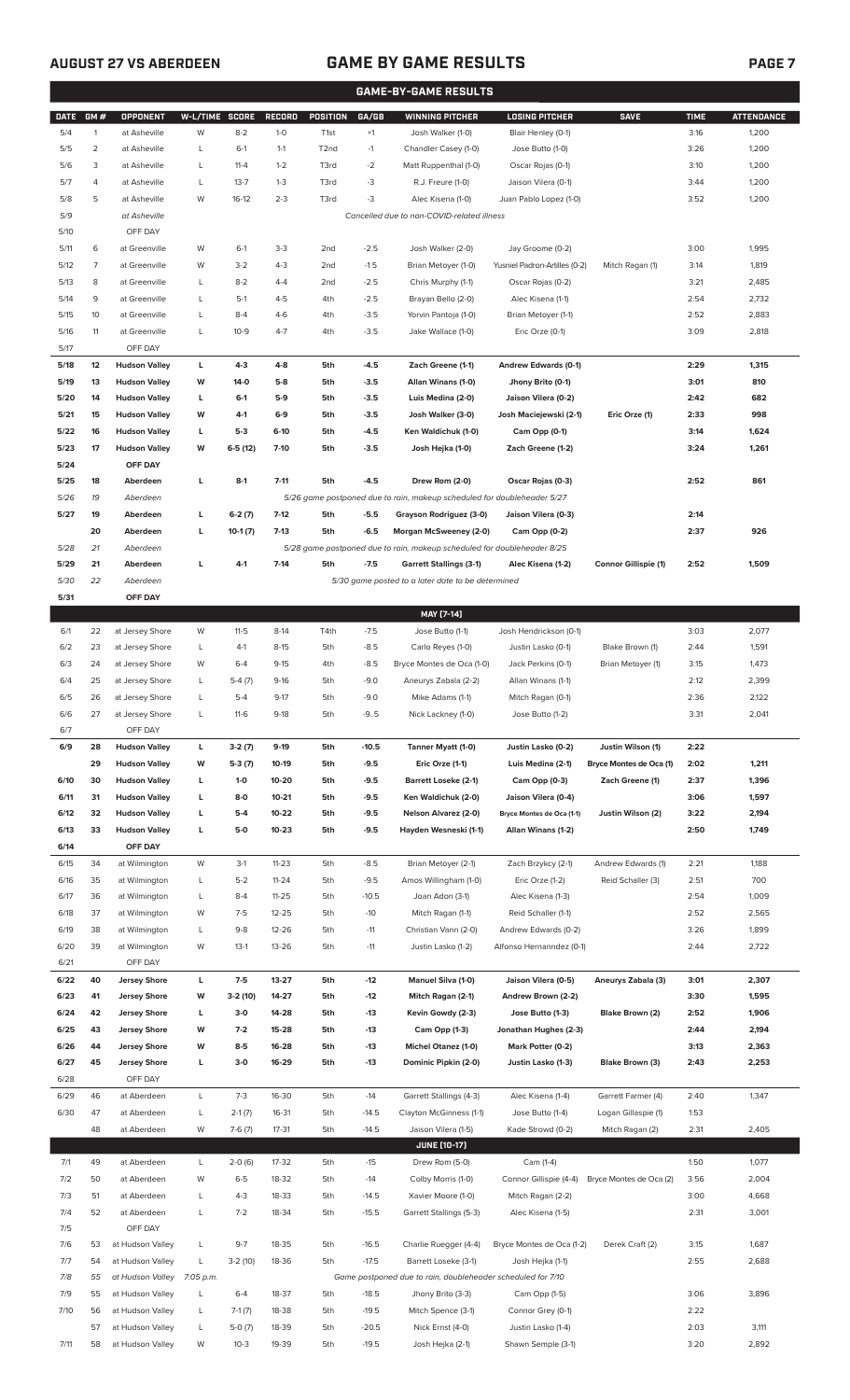## **AUGUST 27 VS ABERDEEN GAME BY GAME RESULTS**

|--|--|

|             |                |                      |                |           |               |                   |         | GAME-BY-GAME RESULTS                                                    |                               |                             |             |                   |
|-------------|----------------|----------------------|----------------|-----------|---------------|-------------------|---------|-------------------------------------------------------------------------|-------------------------------|-----------------------------|-------------|-------------------|
| <b>DATE</b> | GM#            | <b>OPPONENT</b>      | W-L/TIME SCORE |           | <b>RECORD</b> | POSITION          | GA/GB   | <b>WINNING PITCHER</b>                                                  | <b>LOSING PITCHER</b>         | <b>SAVE</b>                 | <b>TIME</b> | <b>ATTENDANCE</b> |
| 5/4         | $\mathbf{1}$   | at Asheville         | W              | $8 - 2$   | $1-0$         | T <sub>1st</sub>  | $+1$    | Josh Walker (1-0)                                                       | Blair Henley (0-1)            |                             | 3:16        | 1,200             |
| 5/5         | $\overline{2}$ | at Asheville         | L              | $6-1$     | $1 - 1$       | T <sub>2</sub> nd | $-1$    | Chandler Casey (1-0)                                                    | Jose Butto (1-0)              |                             | 3:26        | 1,200             |
| 5/6         | 3              | at Asheville         | L              | $11 - 4$  | $1 - 2$       | T3rd              | $-2$    | Matt Ruppenthal (1-0)                                                   | Oscar Rojas (0-1)             |                             | 3:10        | 1,200             |
| 5/7         | 4              | at Asheville         | L              | $13 - 7$  | $1 - 3$       | T3rd              | -3      | R.J. Freure (1-0)                                                       | Jaison Vilera (0-1)           |                             | 3:44        | 1,200             |
|             |                |                      |                |           |               |                   |         |                                                                         |                               |                             |             |                   |
| 5/8         | 5              | at Asheville         | W              | $16-12$   | $2 - 3$       | T3rd              | $-3$    | Alec Kisena (1-0)                                                       | Juan Pablo Lopez (1-0)        |                             | 3:52        | 1,200             |
| 5/9         |                | at Asheville         |                |           |               |                   |         | Cancelled due to non-COVID-related illness                              |                               |                             |             |                   |
| 5/10        |                | OFF DAY              |                |           |               |                   |         |                                                                         |                               |                             |             |                   |
| 5/11        | 6              | at Greenville        | W              | $6-1$     | $3-3$         | 2nd               | $-2.5$  | Josh Walker (2-0)                                                       | Jay Groome (0-2)              |                             | 3:00        | 1,995             |
| 5/12        | $\overline{7}$ | at Greenville        | W              | $3-2$     | $4 - 3$       | 2 <sub>nd</sub>   | $-1.5$  | Brian Metoyer (1-0)                                                     | Yusniel Padron-Artilles (0-2) | Mitch Ragan (1)             | 3:14        | 1,819             |
| 5/13        | 8              | at Greenville        | L              | $8 - 2$   | $4 - 4$       | 2 <sub>nd</sub>   | $-2.5$  | Chris Murphy (1-1)                                                      | Oscar Rojas (0-2)             |                             | 3:21        | 2,485             |
| 5/14        | 9              | at Greenville        | L              | $5-1$     | $4 - 5$       | 4th               | $-2.5$  | Brayan Bello (2-0)                                                      | Alec Kisena (1-1)             |                             | 2:54        | 2,732             |
| 5/15        | 10             | at Greenville        | L              | $8 - 4$   | $4-6$         | 4th               | $-3.5$  | Yorvin Pantoja (1-0)                                                    | Brian Metoyer (1-1)           |                             | 2:52        | 2,883             |
| 5/16        | 11             | at Greenville        | L              | $10-9$    | $4 - 7$       | 4th               | $-3.5$  | Jake Wallace (1-0)                                                      | Eric Orze (0-1)               |                             | 3:09        | 2,818             |
|             |                |                      |                |           |               |                   |         |                                                                         |                               |                             |             |                   |
| 5/17        |                | OFF DAY              |                |           |               |                   |         |                                                                         |                               |                             |             |                   |
| 5/18        | 12             | <b>Hudson Valley</b> | г              | $4 - 3$   | $4 - 8$       | 5th               | -4.5    | Zach Greene (1-1)                                                       | Andrew Edwards (0-1)          |                             | 2:29        | 1,315             |
| 5/19        | 13             | <b>Hudson Valley</b> | w              | 14-0      | 5-8           | 5th               | $-3.5$  | Allan Winans (1-0)                                                      | Jhony Brito (0-1)             |                             | 3:01        | 810               |
| 5/20        | 14             | <b>Hudson Valley</b> | г              | $6-1$     | $5-9$         | 5th               | $-3.5$  | Luis Medina (2-0)                                                       | Jaison Vilera (0-2)           |                             | 2:42        | 682               |
| 5/21        | 15             | <b>Hudson Valley</b> | w              | 4-1       | $6-9$         | 5th               | $-3.5$  | Josh Walker (3-0)                                                       | Josh Maciejewski (2-1)        | Eric Orze (1)               | 2:33        | 998               |
| 5/22        | 16             | <b>Hudson Valley</b> | г              | $5-3$     | $6-10$        | 5th               | -4.5    | Ken Waldichuk (1-0)                                                     | Cam Opp (0-1)                 |                             | 3:14        | 1,624             |
| 5/23        | 17             | <b>Hudson Valley</b> | w              | $6-5(12)$ | $7 - 10$      | 5th               | $-3.5$  | Josh Hejka (1-0)                                                        | Zach Greene (1-2)             |                             | 3:24        | 1,261             |
| 5/24        |                | OFF DAY              |                |           |               |                   |         |                                                                         |                               |                             |             |                   |
| 5/25        | 18             | Aberdeen             | г              | $8-1$     | $7 - 11$      | 5th               | $-4.5$  | Drew Rom (2-0)                                                          | Oscar Rojas (0-3)             |                             | 2:52        | 861               |
|             |                |                      |                |           |               |                   |         |                                                                         |                               |                             |             |                   |
| 5/26        | 19             | Aberdeen             |                |           |               |                   |         | 5/26 game postponed due to rain, makeup scheduled for doubleheader 5/27 |                               |                             |             |                   |
| 5/27        | 19             | Aberdeen             | г              | $6-2(7)$  | $7-12$        | 5th               | $-5.5$  | Grayson Rodriguez (3-0)                                                 | Jaison Vilera (0-3)           |                             | 2:14        |                   |
|             | 20             | Aberdeen             | г              | $10-1(7)$ | $7-13$        | 5th               | $-6.5$  | Morgan McSweeney (2-0)                                                  | Cam Opp (0-2)                 |                             | 2:37        | 926               |
| 5/28        | 21             | Aberdeen             |                |           |               |                   |         | 5/28 game postponed due to rain, makeup scheduled for doubleheader 8/25 |                               |                             |             |                   |
| 5/29        | 21             | Aberdeen             | П              | $4-1$     | $7-14$        | 5th               | $-7.5$  | <b>Garrett Stallings (3-1)</b>                                          | Alec Kisena (1-2)             | <b>Connor Gillispie (1)</b> | 2:52        | 1,509             |
| 5/30        | 22             | Aberdeen             |                |           |               |                   |         | 5/30 game posted to a later date to be determined                       |                               |                             |             |                   |
| 5/31        |                | OFF DAY              |                |           |               |                   |         |                                                                         |                               |                             |             |                   |
|             |                |                      |                |           |               |                   |         | MAY [7-14]                                                              |                               |                             |             |                   |
| 6/1         | 22             | at Jersey Shore      | W              | $11-5$    | $8-14$        | T4th              | $-7.5$  | Jose Butto (1-1)                                                        | Josh Hendrickson (0-1)        |                             | 3:03        | 2,077             |
|             |                |                      |                |           |               |                   |         |                                                                         |                               |                             |             |                   |
| 6/2         | 23             | at Jersey Shore      | L              | $4-1$     | $8 - 15$      | 5th               | $-8.5$  | Carlo Reyes (1-0)                                                       | Justin Lasko (0-1)            | Blake Brown (1)             | 2:44        | 1,591             |
| 6/3         | 24             | at Jersey Shore      | W              | $6 - 4$   | $9 - 15$      | 4th               | $-8.5$  | Bryce Montes de Oca (1-0)                                               | Jack Perkins (0-1)            | Brian Metoyer (1)           | 3:15        | 1,473             |
| 6/4         | 25             | at Jersey Shore      | L              | $5-4(7)$  | $9-16$        | 5th               | $-9.0$  | Aneurys Zabala (2-2)                                                    | Allan Winans (1-1)            |                             | 2:12        | 2,399             |
| 6/5         | 26             | at Jersey Shore      | L              | $5 - 4$   | $9 - 17$      | 5th               | $-9.0$  | Mike Adams (1-1)                                                        | Mitch Ragan (0-1)             |                             | 2:36        | 2,122             |
| 6/6         | 27             | at Jersey Shore      | L              | $11-6$    | $9-18$        | 5th               | $-9.5$  | Nick Lackney (1-0)                                                      | Jose Butto (1-2)              |                             | 3:31        | 2,041             |
| 6/7         |                | OFF DAY              |                |           |               |                   |         |                                                                         |                               |                             |             |                   |
| 6/9         | 28             | <b>Hudson Valley</b> | г              | $3-2(7)$  | $9-19$        | 5th               | $-10.5$ | Tanner Myatt (1-0)                                                      | Justin Lasko (0-2)            | Justin Wilson (1)           | 2:22        |                   |
|             | 29             | <b>Hudson Valley</b> | w              | $5-3(7)$  | 10-19         | 5th               | $-9.5$  | Eric Orze (1-1)                                                         | Luis Medina (2-1)             | Bryce Montes de Oca (1)     | 2:02        | 1,211             |
|             |                |                      |                |           |               |                   |         |                                                                         |                               |                             |             |                   |
| 6/10        | 30             | <b>Hudson Valley</b> | L              | $1 - 0$   | 10-20         | 5th               | $-9.5$  | <b>Barrett Loseke (2-1)</b>                                             | Cam Opp (0-3)                 | Zach Greene (1)             | 2:37        | 1,396             |
| 6/11        | 31             | <b>Hudson Valley</b> | L              | 8-0       | $10 - 21$     | 5th               | $-9.5$  | Ken Waldichuk (2-0)                                                     | Jaison Vilera (0-4)           |                             | 3:06        | 1,597             |
| 6/12        | 32             | <b>Hudson Valley</b> | L              | $5-4$     | 10-22         | 5th               | $-9.5$  | Nelson Alvarez (2-0)                                                    | Bryce Montes de Oca (1-1)     | Justin Wilson (2)           | 3:22        | 2,194             |
| 6/13        | 33             | <b>Hudson Valley</b> | L              | 5-0       | $10 - 23$     | 5th               | $-9.5$  | Hayden Wesneski (1-1)                                                   | Allan Winans (1-2)            |                             | 2:50        | 1,749             |
| 6/14        |                | OFF DAY              |                |           |               |                   |         |                                                                         |                               |                             |             |                   |
| 6/15        | 34             | at Wilmington        | W              | $3-1$     | $11 - 23$     | 5th               | $-8.5$  | Brian Metoyer (2-1)                                                     | Zach Brzykcy (2-1)            | Andrew Edwards (1)          | 2:21        | 1,188             |
| 6/16        | 35             | at Wilmington        | L              | $5 - 2$   | $11 - 24$     | 5th               | $-9.5$  | Amos Willingham (1-0)                                                   | Eric Orze (1-2)               | Reid Schaller (3)           | 2:51        | 700               |
| 6/17        | 36             | at Wilmington        | L              | $8 - 4$   | $11 - 25$     | 5th               | $-10.5$ | Joan Adon (3-1)                                                         | Alec Kisena (1-3)             |                             | 2:54        | 1,009             |
| 6/18        | 37             | at Wilmington        | W              | $7-5$     | $12 - 25$     | 5th               | $-10$   | Mitch Ragan (1-1)                                                       | Reid Schaller (1-1)           |                             | 2:52        | 2,565             |
|             |                |                      |                |           |               |                   |         |                                                                         |                               |                             |             |                   |
| 6/19        | 38             | at Wilmington        | L              | $9 - 8$   | 12-26         | 5th               | $-11$   | Christian Vann (2-0)                                                    | Andrew Edwards (0-2)          |                             | 3:26        | 1,899             |
| 6/20        | 39             | at Wilmington        | W              | $13-1$    | 13-26         | 5th               | $-11$   | Justin Lasko (1-2)                                                      | Alfonso Hernanndez (0-1)      |                             | 2:44        | 2,722             |
| 6/21        |                | OFF DAY              |                |           |               |                   |         |                                                                         |                               |                             |             |                   |
| 6/22        | 40             | <b>Jersey Shore</b>  | г              | $7-5$     | 13-27         | 5th               | $-12$   | <b>Manuel Silva (1-0)</b>                                               | Jaison Vilera (0-5)           | Aneurys Zabala (3)          | 3:01        | 2,307             |
| 6/23        | 41             | <b>Jersey Shore</b>  | W              | $3-2(10)$ | 14-27         | 5th               | $-12$   | Mitch Ragan (2-1)                                                       | Andrew Brown (2-2)            |                             | 3:30        | 1,595             |
| 6/24        | 42             | <b>Jersey Shore</b>  | г              | $3-0$     | 14-28         | 5th               | $-13$   | Kevin Gowdy (2-3)                                                       | Jose Butto (1-3)              | Blake Brown (2)             | 2:52        | 1,906             |
| 6/25        | 43             | <b>Jersey Shore</b>  | W              | $7-2$     | 15-28         | 5th               | $-13$   | Cam Opp (1-3)                                                           | Jonathan Hughes (2-3)         |                             | 2:44        | 2,194             |
| 6/26        | 44             | <b>Jersey Shore</b>  | W              | $8 - 5$   | 16-28         | 5th               | $-13$   | Michel Otanez (1-0)                                                     | Mark Potter (0-2)             |                             | 3:13        | 2,363             |
| 6/27        | 45             | <b>Jersey Shore</b>  | L              | $3-0$     | 16-29         | 5th               | $-13$   | Dominic Pipkin (2-0)                                                    | Justin Lasko (1-3)            | Blake Brown (3)             | 2:43        | 2,253             |
|             |                |                      |                |           |               |                   |         |                                                                         |                               |                             |             |                   |
| 6/28        |                | OFF DAY              |                |           |               |                   |         |                                                                         |                               |                             |             |                   |
| 6/29        | 46             | at Aberdeen          | L              | $7-3$     | 16-30         | 5th               | $-14$   | Garrett Stallings (4-3)                                                 | Alec Kisena (1-4)             | Garrett Farmer (4)          | 2:40        | 1,347             |
| 6/30        | 47             | at Aberdeen          | L              | $2-1(7)$  | 16-31         | 5th               | $-14.5$ | Clayton McGinness (1-1)                                                 | Jose Butto (1-4)              | Logan Gillaspie (1)         | 1:53        |                   |
|             | 48             | at Aberdeen          | W              | $7-6(7)$  | 17-31         | 5th               | $-14.5$ | Jaison Vilera (1-5)                                                     | Kade Strowd (0-2)             | Mitch Ragan (2)             | 2:31        | 2,405             |
|             |                |                      |                |           |               |                   |         | <b>JUNE [10-17]</b>                                                     |                               |                             |             |                   |
| 7/1         | 49             | at Aberdeen          | L              | $2-0(6)$  | 17-32         | 5th               | $-15$   | Drew Rom (5-0)                                                          | Cam (1-4)                     |                             | 1:50        | 1,077             |
| 7/2         | 50             | at Aberdeen          | W              | $6 - 5$   | 18-32         | 5th               | $-14$   | Colby Morris (1-0)                                                      | Connor Gillispie (4-4)        | Bryce Montes de Oca (2)     | 3:56        | 2,004             |
|             |                | at Aberdeen          |                |           |               |                   |         |                                                                         |                               |                             |             |                   |
| 7/3         | 51             |                      | L              | $4 - 3$   | 18-33         | 5th               | $-14.5$ | Xavier Moore (1-0)                                                      | Mitch Ragan (2-2)             |                             | 3:00        | 4,668             |
| 7/4         | 52             | at Aberdeen          | L              | $7 - 2$   | 18-34         | 5th               | $-15.5$ | Garrett Stallings (5-3)                                                 | Alec Kisena (1-5)             |                             | 2:31        | 3,001             |
|             |                | OFF DAY              |                |           |               |                   |         |                                                                         |                               |                             |             |                   |
| 7/5         |                |                      |                |           |               |                   | $-16.5$ | Charlie Ruegger (4-4)                                                   | Bryce Montes de Oca (1-2)     | Derek Craft (2)             | 3:15        | 1,687             |
| 7/6         | 53             | at Hudson Valley     | L              | $9 - 7$   | 18-35         | 5th               |         |                                                                         |                               |                             |             |                   |
| 7/7         | 54             | at Hudson Valley     | L              | $3-2(10)$ | 18-36         | 5th               | $-17.5$ | Barrett Loseke (3-1)                                                    | Josh Hejka (1-1)              |                             | 2:55        | 2,688             |
| 7/8         | 55             | at Hudson Valley     | 7:05 p.m.      |           |               |                   |         | Game postponed due to rain, doubleheader scheduled for 7/10             |                               |                             |             |                   |
| 7/9         | 55             | at Hudson Valley     | L              | $6 - 4$   | 18-37         | 5th               | $-18.5$ | Jhony Brito (3-3)                                                       | Cam Opp (1-5)                 |                             | 3:06        | 3,896             |
| 7/10        | 56             | at Hudson Valley     | L              | $7-1(7)$  | 18-38         | 5th               | $-19.5$ | Mitch Spence (3-1)                                                      | Connor Grey (0-1)             |                             | 2:22        |                   |
|             | 57             | at Hudson Valley     | L              | $5-0(7)$  | 18-39         | 5th               | $-20.5$ | Nick Ernst (4-0)                                                        | Justin Lasko (1-4)            |                             | 2:03        | 3,111             |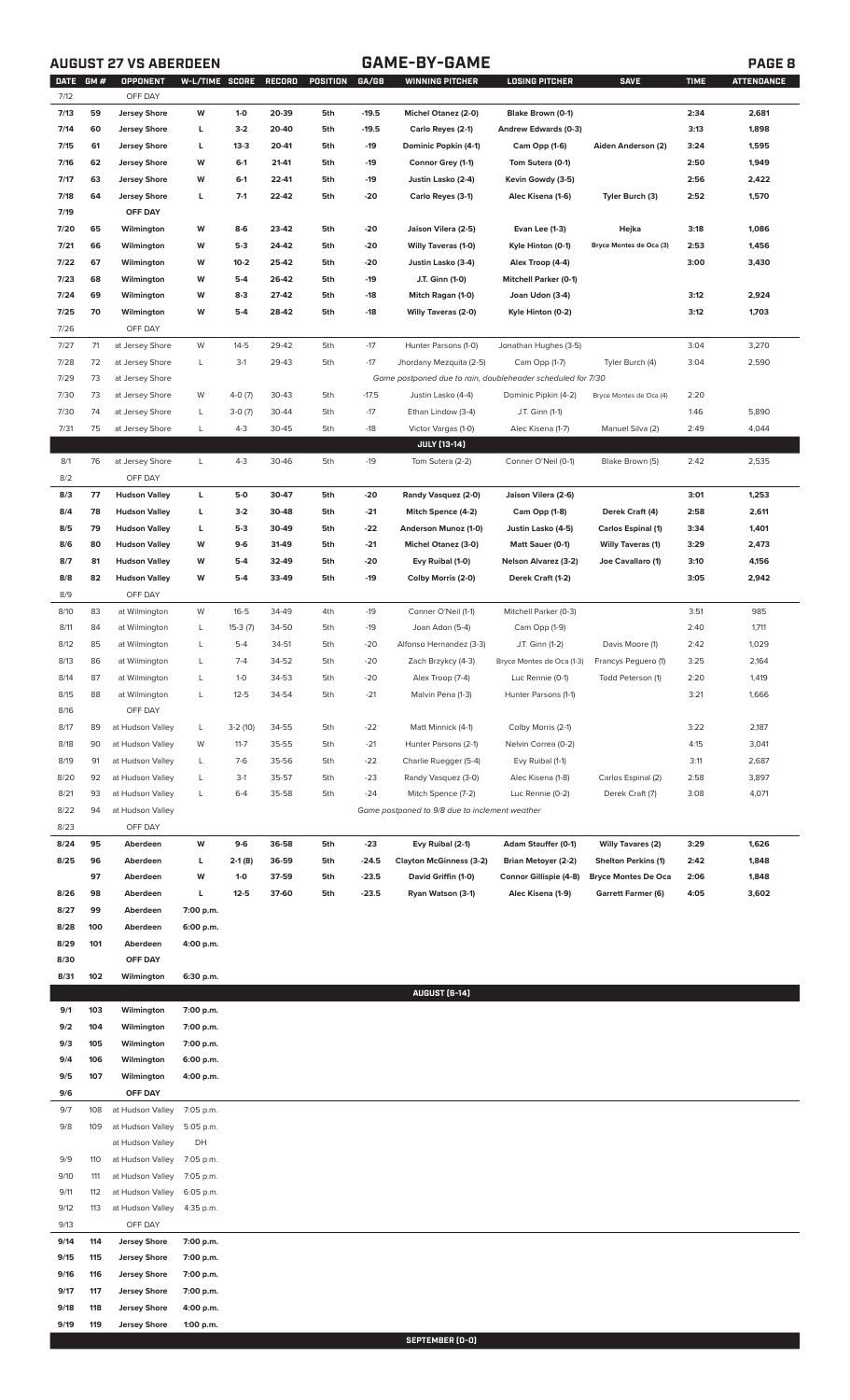## **AUGUST 27 VS ABERDEEN GAME-BY-GAME PAGE 8**

| <b>DATE</b> | GM# | OPPONENT                   | W-L/TIME SCORE |           | RECORD | POSITION | GA/GB   | <b>WINNING PITCHER</b>                                      | <b>LOSING PITCHER</b>        | <b>SAVE</b>                | <b>TIME</b> | <b>ATTENDANCE</b> |
|-------------|-----|----------------------------|----------------|-----------|--------|----------|---------|-------------------------------------------------------------|------------------------------|----------------------------|-------------|-------------------|
| 7/12        |     | OFF DAY                    |                |           |        |          |         |                                                             |                              |                            |             |                   |
| 7/13        | 59  | <b>Jersey Shore</b>        | W              | $1-0$     | 20-39  | 5th      | $-19.5$ | Michel Otanez (2-0)                                         | Blake Brown (0-1)            |                            | 2:34        | 2,681             |
| 7/14        | 60  | <b>Jersey Shore</b>        | L              | $3-2$     | 20-40  | 5th      | $-19.5$ | Carlo Reyes (2-1)                                           | Andrew Edwards (0-3)         |                            | 3:13        | 1,898             |
| 7/15        | 61  | <b>Jersey Shore</b>        | г              | $13 - 3$  | 20-41  | 5th      | -19     | Dominic Popkin (4-1)                                        | Cam Opp (1-6)                | Aiden Anderson (2)         | 3:24        | 1,595             |
| 7/16        | 62  | <b>Jersey Shore</b>        | W              | $6-1$     | 21-41  | 5th      | $-19$   | Connor Grey (1-1)                                           | Tom Sutera (0-1)             |                            | 2:50        | 1,949             |
| 7/17        | 63  | <b>Jersey Shore</b>        | W              | $6-1$     | 22-41  | 5th      | -19     | Justin Lasko (2-4)                                          | Kevin Gowdy (3-5)            |                            | 2:56        | 2,422             |
| 7/18        | 64  | <b>Jersey Shore</b>        | г              | $7-1$     | 22-42  | 5th      | -20     | Carlo Reyes (3-1)                                           | Alec Kisena (1-6)            | Tyler Burch (3)            | 2:52        | 1,570             |
| 7/19        |     | OFF DAY                    |                |           |        |          |         |                                                             |                              |                            |             |                   |
| 7/20        | 65  | Wilmington                 | W              | $8-6$     | 23-42  | 5th      | -20     | Jaison Vilera (2-5)                                         | Evan Lee (1-3)               | Hejka                      | 3:18        | 1,086             |
|             |     |                            |                |           |        |          |         |                                                             |                              |                            |             | 1,456             |
| 7/21        | 66  | Wilmington                 | W              | $5-3$     | 24-42  | 5th      | -20     | Willy Taveras (1-0)                                         | Kyle Hinton (0-1)            | Bryce Montes de Oca (3)    | 2:53        |                   |
| 7/22        | 67  | Wilmington                 | W              | $10 - 2$  | 25-42  | 5th      | -20     | Justin Lasko (3-4)                                          | Alex Troop (4-4)             |                            | 3:00        | 3,430             |
| 7/23        | 68  | Wilmington                 | W              | $5-4$     | 26-42  | 5th      | $-19$   | J.T. Ginn (1-0)                                             | <b>Mitchell Parker (0-1)</b> |                            |             |                   |
| 7/24        | 69  | Wilmington                 | W              | $8-3$     | 27-42  | 5th      | -18     | Mitch Ragan (1-0)                                           | Joan Udon (3-4)              |                            | 3:12        | 2,924             |
| 7/25        | 70  | Wilmington                 | W              | $5-4$     | 28-42  | 5th      | -18     | <b>Willy Taveras (2-0)</b>                                  | Kyle Hinton (0-2)            |                            | 3:12        | 1,703             |
| 7/26        |     | OFF DAY                    |                |           |        |          |         |                                                             |                              |                            |             |                   |
| 7/27        | 71  | at Jersey Shore            | W              | $14 - 5$  | 29-42  | 5th      | $-17$   | Hunter Parsons (1-0)                                        | Jonathan Hughes (3-5)        |                            | 3:04        | 3,270             |
| 7/28        | 72  | at Jersey Shore            | L              | $3-1$     | 29-43  | 5th      | $-17$   | Jhordany Mezquita (2-5)                                     | Cam Opp (1-7)                | Tyler Burch (4)            | 3:04        | 2,590             |
| 7/29        | 73  | at Jersey Shore            |                |           |        |          |         | Game postponed due to rain, doubleheader scheduled for 7/30 |                              |                            |             |                   |
| 7/30        | 73  | at Jersey Shore            | W              | $4-0(7)$  | 30-43  | 5th      | $-17.5$ | Justin Lasko (4-4)                                          | Dominic Pipkin (4-2)         | Bryce Montes de Oca (4)    | 2:20        |                   |
| 7/30        | 74  | at Jersey Shore            | L              |           | 30-44  |          | $-17$   | Ethan Lindow (3-4)                                          | J.T. Ginn (1-1)              |                            | 1:46        | 5,890             |
|             |     |                            |                | $3-0(7)$  |        | 5th      |         |                                                             |                              |                            |             |                   |
| 7/31        | 75  | at Jersey Shore            | L              | $4 - 3$   | 30-45  | 5th      | $-18$   | Victor Vargas (1-0)                                         | Alec Kisena (1-7)            | Manuel Silva (2)           | 2:49        | 4,044             |
|             |     |                            |                |           |        |          |         | <b>JULY [13-14]</b>                                         |                              |                            |             |                   |
| 8/1         | 76  | at Jersey Shore            | L              | $4 - 3$   | 30-46  | 5th      | $-19$   | Tom Sutera (2-2)                                            | Conner O'Neil (0-1)          | Blake Brown (5)            | 2:42        | 2,535             |
| 8/2         |     | OFF DAY                    |                |           |        |          |         |                                                             |                              |                            |             |                   |
| 8/3         | 77  | <b>Hudson Valley</b>       | L              | 5-0       | 30-47  | 5th      | $-20$   | Randy Vasquez (2-0)                                         | Jaison Vilera (2-6)          |                            | 3:01        | 1,253             |
| 8/4         | 78  | <b>Hudson Valley</b>       | L              | $3-2$     | 30-48  | 5th      | $-21$   | Mitch Spence (4-2)                                          | Cam Opp (1-8)                | Derek Craft (4)            | 2:58        | 2,611             |
| 8/5         | 79  | <b>Hudson Valley</b>       | Г              | $5-3$     | 30-49  | 5th      | -22     | Anderson Munoz (1-0)                                        | Justin Lasko (4-5)           | <b>Carlos Espinal (1)</b>  | 3:34        | 1,401             |
| 8/6         | 80  | <b>Hudson Valley</b>       | W              | $9-6$     | 31-49  | 5th      | $-21$   | <b>Michel Otanez (3-0)</b>                                  | Matt Sauer (0-1)             | <b>Willy Taveras (1)</b>   | 3:29        | 2,473             |
| 8/7         | 81  | <b>Hudson Valley</b>       | W              | $5-4$     | 32-49  | 5th      | $-20$   | Evy Ruibal (1-0)                                            | <b>Nelson Alvarez (3-2)</b>  | Joe Cavallaro (1)          | 3:10        | 4,156             |
| 8/8         | 82  | <b>Hudson Valley</b>       | W              | $5-4$     | 33-49  | 5th      | $-19$   | Colby Morris (2-0)                                          | Derek Craft (1-2)            |                            | 3:05        | 2,942             |
|             |     |                            |                |           |        |          |         |                                                             |                              |                            |             |                   |
| 8/9         |     | OFF DAY                    |                |           |        |          |         |                                                             |                              |                            |             |                   |
| 8/10        | 83  | at Wilmington              | W              | $16 - 5$  | 34-49  | 4th      | $-19$   | Conner O'Neil (1-1)                                         | Mitchell Parker (0-3)        |                            | 3:51        | 985               |
| 8/11        | 84  | at Wilmington              | L              | $15-3(7)$ | 34-50  | 5th      | $-19$   | Joan Adon (5-4)                                             | Cam Opp (1-9)                |                            | 2:40        | 1,711             |
| 8/12        | 85  | at Wilmington              | L              | $5 - 4$   | 34-51  | 5th      | $-20$   | Alfonso Hernandez (3-3)                                     | J.T. Ginn (1-2)              | Davis Moore (1)            | 2:42        | 1,029             |
| 8/13        | 86  | at Wilmington              | L              | $7 - 4$   | 34-52  | 5th      | $-20$   | Zach Brzykcy (4-3)                                          | Bryce Montes de Oca (1-3)    | Francys Peguero (1)        | 3:25        | 2,164             |
| 8/14        | 87  | at Wilmington              | L              | $1 - 0$   | 34-53  | 5th      | $-20$   | Alex Troop (7-4)                                            | Luc Rennie (0-1)             | Todd Peterson (1)          | 2:20        | 1,419             |
| 8/15        | 88  | at Wilmington              | L              | $12 - 5$  | 34-54  | 5th      | $-21$   | Malvin Pena (1-3)                                           | Hunter Parsons (1-1)         |                            | 3:21        | 1,666             |
| 8/16        |     | OFF DAY                    |                |           |        |          |         |                                                             |                              |                            |             |                   |
| 8/17        | 89  | at Hudson Valley           | L              | $3-2(10)$ | 34-55  | 5th      | $-22$   | Matt Minnick (4-1)                                          | Colby Morris (2-1)           |                            | 3:22        | 2,187             |
|             |     |                            |                |           |        |          |         |                                                             |                              |                            |             |                   |
| 8/18        | 90  | at Hudson Valley           | W              | $11 - 7$  | 35-55  | 5th      | $-21$   | Hunter Parsons (2-1)                                        | Nelvin Correa (0-2)          |                            | 4:15        | 3,041             |
| 8/19        | 91  | at Hudson Valley           | L              | $7-6$     | 35-56  | 5th      | $-22$   | Charlie Ruegger (5-4)                                       | Evy Ruibal (1-1)             |                            | 3:11        | 2,687             |
| 8/20        | 92  | at Hudson Valley           | L              | $3-1$     | 35-57  | 5th      | $-23$   | Randy Vasquez (3-0)                                         | Alec Kisena (1-8)            | Carlos Espinal (2)         | 2:58        | 3,897             |
| 8/21        | 93  | at Hudson Valley           | L              | $6 - 4$   | 35-58  | 5th      | $-24$   | Mitch Spence (7-2)                                          | Luc Rennie (0-2)             | Derek Craft (7)            | 3:08        | 4,071             |
| 8/22        | 94  | at Hudson Valley           |                |           |        |          |         | Game postponed to 9/8 due to inclement weather              |                              |                            |             |                   |
| 8/23        |     | OFF DAY                    |                |           |        |          |         |                                                             |                              |                            |             |                   |
| 8/24        | 95  | Aberdeen                   | W              | $9-6$     | 36-58  | 5th      | $-23$   | Evy Ruibal (2-1)                                            | Adam Stauffer (0-1)          | <b>Willy Tavares (2)</b>   | 3:29        | 1,626             |
| 8/25        | 96  | Aberdeen                   | L              | $2-1(8)$  | 36-59  | 5th      | $-24.5$ | <b>Clayton McGinness (3-2)</b>                              | <b>Brian Metoyer (2-2)</b>   | <b>Shelton Perkins (1)</b> | 2:42        | 1,848             |
|             | 97  | Aberdeen                   | W              | $1 - 0$   | 37-59  | 5th      | $-23.5$ | David Griffin (1-0)                                         | Connor Gillispie (4-8)       | <b>Bryce Montes De Oca</b> | 2:06        | 1,848             |
|             |     |                            |                |           |        |          |         |                                                             |                              |                            |             |                   |
| 8/26        | 98  | Aberdeen                   | г              | $12 - 5$  | 37-60  | 5th      | $-23.5$ | Ryan Watson (3-1)                                           | Alec Kisena (1-9)            | <b>Garrett Farmer (6)</b>  | 4:05        | 3,602             |
| 8/27        | 99  | Aberdeen                   | 7:00 p.m.      |           |        |          |         |                                                             |                              |                            |             |                   |
| 8/28        | 100 | Aberdeen                   | 6:00 p.m.      |           |        |          |         |                                                             |                              |                            |             |                   |
| 8/29        | 101 | Aberdeen                   | 4:00 p.m.      |           |        |          |         |                                                             |                              |                            |             |                   |
| 8/30        |     | OFF DAY                    |                |           |        |          |         |                                                             |                              |                            |             |                   |
| 8/31        | 102 | Wilmington                 | 6:30 p.m.      |           |        |          |         |                                                             |                              |                            |             |                   |
|             |     |                            |                |           |        |          |         | <b>AUGUST [6-14]</b>                                        |                              |                            |             |                   |
| 9/1         | 103 | Wilmington                 | 7:00 p.m.      |           |        |          |         |                                                             |                              |                            |             |                   |
| 9/2         | 104 | Wilmington                 | 7:00 p.m.      |           |        |          |         |                                                             |                              |                            |             |                   |
| 9/3         | 105 | Wilmington                 | 7:00 p.m.      |           |        |          |         |                                                             |                              |                            |             |                   |
|             |     |                            |                |           |        |          |         |                                                             |                              |                            |             |                   |
| 9/4         | 106 | Wilmington                 | 6:00 p.m.      |           |        |          |         |                                                             |                              |                            |             |                   |
| 9/5         | 107 | Wilmington                 | 4:00 p.m.      |           |        |          |         |                                                             |                              |                            |             |                   |
| 9/6         |     | OFF DAY                    |                |           |        |          |         |                                                             |                              |                            |             |                   |
| 9/7         | 108 | at Hudson Valley           | 7:05 p.m.      |           |        |          |         |                                                             |                              |                            |             |                   |
| 9/8         | 109 | at Hudson Valley 5:05 p.m. |                |           |        |          |         |                                                             |                              |                            |             |                   |
|             |     | at Hudson Valley           | DH             |           |        |          |         |                                                             |                              |                            |             |                   |
| 9/9         | 110 | at Hudson Valley           | 7:05 p.m.      |           |        |          |         |                                                             |                              |                            |             |                   |
| 9/10        | 111 | at Hudson Valley           | 7:05 p.m.      |           |        |          |         |                                                             |                              |                            |             |                   |
| 9/11        | 112 | at Hudson Valley           | 6:05 p.m.      |           |        |          |         |                                                             |                              |                            |             |                   |
| 9/12        | 113 | at Hudson Valley           | 4:35 p.m.      |           |        |          |         |                                                             |                              |                            |             |                   |
|             |     |                            |                |           |        |          |         |                                                             |                              |                            |             |                   |
| 9/13        |     | OFF DAY                    |                |           |        |          |         |                                                             |                              |                            |             |                   |
| 9/14        | 114 | <b>Jersey Shore</b>        | 7:00 p.m.      |           |        |          |         |                                                             |                              |                            |             |                   |
| 9/15        | 115 | <b>Jersey Shore</b>        | 7:00 p.m.      |           |        |          |         |                                                             |                              |                            |             |                   |
| 9/16        | 116 | <b>Jersey Shore</b>        | 7:00 p.m.      |           |        |          |         |                                                             |                              |                            |             |                   |
|             |     | <b>Jersey Shore</b>        | 7:00 p.m.      |           |        |          |         |                                                             |                              |                            |             |                   |
| 9/17        | 117 |                            |                |           |        |          |         |                                                             |                              |                            |             |                   |
| 9/18        | 118 | <b>Jersey Shore</b>        | 4:00 p.m.      |           |        |          |         |                                                             |                              |                            |             |                   |